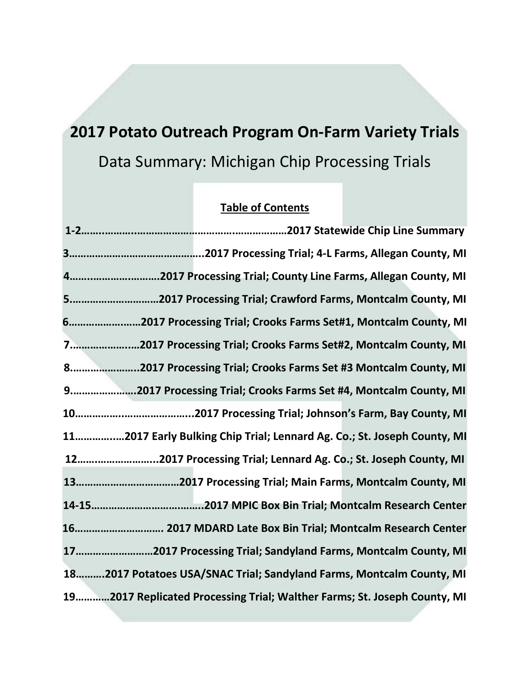# **2017 Potato Outreach Program On-Farm Variety Trials** Data Summary: Michigan Chip Processing Trials

# **Table of Contents**

| 42017 Processing Trial; County Line Farms, Allegan County, MI            |
|--------------------------------------------------------------------------|
| 52017 Processing Trial; Crawford Farms, Montcalm County, MI              |
| 62017 Processing Trial; Crooks Farms Set#1, Montcalm County, MI          |
| 72017 Processing Trial; Crooks Farms Set#2, Montcalm County, MI          |
| 82017 Processing Trial; Crooks Farms Set #3 Montcalm County, MI          |
| 9.       2017 Processing Trial; Crooks Farms Set #4, Montcalm County, MI |
|                                                                          |
| 112017 Early Bulking Chip Trial; Lennard Ag. Co.; St. Joseph County, MI  |
| 122017 Processing Trial; Lennard Ag. Co.; St. Joseph County, MI          |
|                                                                          |
|                                                                          |
| 16 2017 MDARD Late Box Bin Trial; Montcalm Research Center               |
| 172017 Processing Trial; Sandyland Farms, Montcalm County, MI            |
| 182017 Potatoes USA/SNAC Trial; Sandyland Farms, Montcalm County, MI     |
| 192017 Replicated Processing Trial; Walther Farms; St. Joseph County, MI |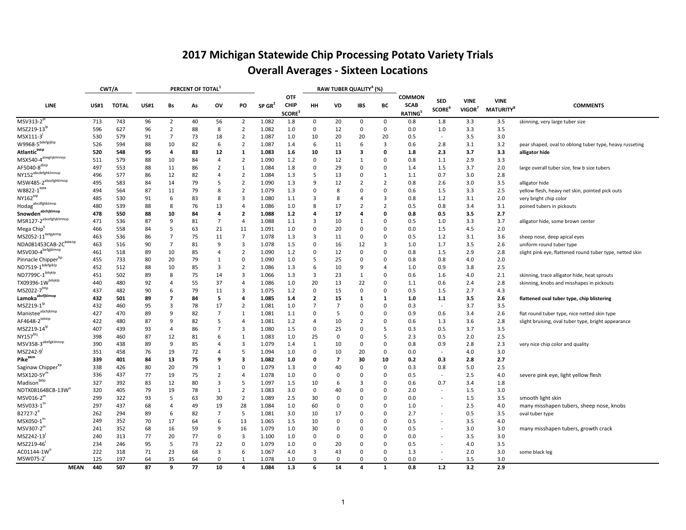# **2017 Michigan Statewide Chip Processing Potato Variety Trials Overall Averages - Sixteen Locations**

|                                         |             | CWT/A        |             |                | PERCENT OF TOTAL |                |                         |                      |                                           |                         |                | RAW TUBER QUALITY <sup>4</sup> (%) |                |                                        |                                  |                                   |                                             |                                                          |
|-----------------------------------------|-------------|--------------|-------------|----------------|------------------|----------------|-------------------------|----------------------|-------------------------------------------|-------------------------|----------------|------------------------------------|----------------|----------------------------------------|----------------------------------|-----------------------------------|---------------------------------------------|----------------------------------------------------------|
| LINE                                    | <b>US#1</b> | <b>TOTAL</b> | <b>US#1</b> | Bs             | As               | ov             | PO                      | $SP$ GR <sup>2</sup> | <b>OTF</b><br><b>CHIP</b><br><b>SCORE</b> | HH                      | VD             | IBS                                | BC             | COMMON<br><b>SCAB</b><br><b>RATING</b> | <b>SED</b><br>SCORE <sup>6</sup> | <b>VINE</b><br>VIGOR <sup>7</sup> | <b>VINE</b><br><b>MATURITY</b> <sup>8</sup> | <b>COMMENTS</b>                                          |
| $MSV313-2^{\circ}$                      | 713         | 743          | 96          | $\overline{2}$ | 40               | 56             | $\overline{2}$          | 1.082                | 1.8                                       | $\mathbf 0$             | 20             | $\mathsf{O}$                       | $\mathbf 0$    | 0.8                                    | 1.8                              | 3.3                               | 3.5                                         | skinning, very large tuber size                          |
| $MSZ219-13^{1p}$                        | 596         | 627          | 96          | $\overline{2}$ | 88               | 8              | $\overline{2}$          | 1.082                | 1.0                                       | $\mathbf 0$             | 12             | $\mathbf 0$                        | 0              | 0.0                                    | 1.0                              | 3.3                               | 3.5                                         |                                                          |
| MSX111-3                                | 530         | 579          | 91          | $\overline{7}$ | 73               | 18             | 2                       | 1.087                | 1.0                                       | 10                      | 20             | 20                                 | 20             | 0.5                                    | $\sim$                           | 3.5                               | 3.0                                         |                                                          |
| W9968-5 <sup>bdefgijklp</sup>           | 526         | 594          | 88          | 10             | 82               | 6              | $\overline{2}$          | 1.087                | 1.4                                       | 6                       | 11             | 6                                  | 3              | 0.6                                    | 2.8                              | 3.1                               | 3.2                                         | pear shaped, oval to oblong tuber type, heavy russeting  |
| Atlantic <sup>bdip</sup>                | 520         | 548          | 95          | 4              | 83               | 12             | $\mathbf{1}$            | 1.083                | 1.6                                       | 10                      | 13             | $\overline{\mathbf{3}}$            | 0              | 1.8                                    | 2.3                              | 3.7                               | 3.3                                         | alligator hide                                           |
| MSX540-4 <sup>abeghjklmnop</sup>        | 511         | 579          | 88          | 10             | 84               | $\overline{4}$ | $\overline{2}$          | 1.090                | 1.2                                       | $\mathbf 0$             | 12             | 1                                  | $\Omega$       | 0.8                                    | 1.1                              | 2.9                               | 3.3                                         |                                                          |
| AF5040-8 <sup>dinp</sup>                | 497         | 553          | 88          | 11             | 86               | $\overline{2}$ | $\mathbf{1}$            | 1.084                | 1.8                                       | 0                       | 29             | $\mathbf 0$                        | $\Omega$       | 1.4                                    | 1.5                              | 3.7                               | 2.0                                         | large overall tuber size, few b size tubers              |
| NY152 <sup>abcdefghklmnop</sup>         | 496         | 577          | 86          | 12             | 82               | $\overline{4}$ | $\overline{2}$          | 1.084                | 1.3                                       | 5                       | 13             | $\mathbf 0$                        | 1              | 1.1                                    | 0.7                              | 3.0                               | 2.8                                         |                                                          |
| MSW485-2 <sup>abcefghklmop</sup>        | 495         | 583          | 84          | 14             | 79               | 5              | $\overline{2}$          | 1.090                | 1.3                                       | 9                       | 12             | $\overline{2}$                     | 2              | 0.8                                    | 2.6                              | 3.0                               | 3.5                                         | alligator hide                                           |
| $W8822-1$ <sup>bdik</sup>               | 494         | 564          | 87          | 11             | 79               | 8              | 2                       | 1.079                | 1.3                                       | 0                       | 8              | $\mathbf 0$                        | $\mathbf 0$    | 0.6                                    | 1.5                              | 3.3                               | 2.5                                         | yellow flesh, heavy net skin, pointed pick outs          |
| NY162 <sup>klp</sup>                    | 485         | 530          | 91          | 6              | 83               | 8              | 3                       | 1.080                | 1.1                                       | 3                       | 8              | $\overline{4}$                     | 3              | 0.8                                    | 1.2                              | 3.1                               | 2.0                                         | very bright chip color                                   |
| Hodag <sup>abcdfghkimnp</sup>           | 480         | 539          | 88          | 8              | 76               | 13             | 4                       | 1.086                | 1.0                                       | 8                       | 17             | $\overline{2}$                     | $\overline{2}$ | 0.5                                    | 0.8                              | 3.4                               | 3.1                                         | poined tubers in pickouts                                |
| Snowden <sup>abchjklmop</sup>           | 478         | 550          | 88          | 10             | 84               | 4              | $\overline{\mathbf{2}}$ | 1.088                | 1.2                                       | 4                       | 17             | $\overline{a}$                     | $\mathbf 0$    | 0.8                                    | 0.5                              | 3.5                               | 2.7                                         |                                                          |
| MSR127-2 <sup>abcefghjklmnop</sup>      | 471         | 536          | 87          | 9              | 81               | $\overline{7}$ | $\overline{a}$          | 1.088                | 1.1                                       | 3                       | 10             | 1                                  | $\Omega$       | 0.5                                    | 1.0                              | 3.3                               | 3.7                                         | alligator hide, some brown center                        |
| Mega Chip <sup>k</sup>                  | 466         | 558          | 84          |                | 63               | 21             | 11                      | 1.091                | 1.0                                       | 0                       | 20             | $\mathbf 0$                        | $\mathbf 0$    | 0.0                                    | 1.5                              | 4.5                               | 2.0                                         |                                                          |
| $MSZ052-11$ <sup>befgjklmp</sup>        | 463         | 536          | 86          | $\overline{7}$ | 75               | 11             | $\overline{7}$          | 1.078                | 1.3                                       | 3                       | 11             | 0                                  | 0              | 0.5                                    | 1.2                              | 3.1                               | 3.6                                         | sheep nose, deep apical eyes                             |
| NDA081453CAB-2C <sup>bdikop</sup>       | 463         | 516          | 90          | $\overline{7}$ | 81               | 9              | 3                       | 1.078                | 1.5                                       | 0                       | 16             | 12                                 | 3              | 1.0                                    | 1.7                              | 3.5                               | 2.6                                         | uniform round tuber type                                 |
| MSV030-4befgjklmnp                      | 461         | 518          | 89          | 10             | 85               | $\overline{4}$ | 2                       | 1.090                | 1.2                                       | 0                       | 12             | 0                                  | 0              | 0.8                                    | 1.5                              | 2.9                               | 2.8                                         | slight pink eye, flattened round tuber type, netted skin |
| Pinnacle Chipper <sup>kp</sup>          | 455         | 733          | 80          | 20             | 79               | $\mathbf{1}$   | 0                       | 1.090                | 1.0                                       | 5                       | 25             | $\mathbf 0$                        | $\Omega$       | 0.8                                    | 0.8                              | 4.0                               | 2.0                                         |                                                          |
| ND7519-1 <sup>bdefgiklp</sup>           | 452         | 512          | 88          | 10             | 85               | 3              | $\overline{2}$          | 1.086                | 1.3                                       | 6                       | 10             | 9                                  | 4              | 1.0                                    | 0.9                              | 3.8                               | 2.5                                         |                                                          |
| $ND7799C-1$ <sup>bdijklp</sup>          | 451         | 502          | 89          | 8              | 75               | 14             | 3                       | 1.066                | 1.3                                       | 3                       | 23             | 1                                  | 0              | 0.6                                    | 1.6                              | 4.0                               | 2.1                                         | skinning, trace alligator hide, heat sprouts             |
| $TX09396-1W^{bdijklp}$                  | 440         | 480          | 92          | 4              | 55               | 37             | 4                       | 1.086                | 1.0                                       | 20                      | 13             | 22                                 | 0              | 1.1                                    | 0.6                              | 2.4                               | 2.8                                         | skinning, knobs and misshapes in pickouts                |
| $MSZ022-7$ <sup>Imp</sup>               | 437         | 482          | 90          | 6              | 79               | 11             | 3                       | 1.075                | 1.2                                       | $\mathbf 0$             | 15             | $\mathbf 0$                        | $\mathbf 0$    | 0.5                                    | 1.5                              | 2.7                               | 4.3                                         |                                                          |
| Lamoka <sup>abefjklmop</sup>            | 432         | 501          | 89          | 7              | 84               | 5              | 4                       | 1.085                | 1.4                                       | $\overline{\mathbf{2}}$ | 15             | 1                                  | 1              | 1.0                                    | 1.1                              | 3.5                               | 2.6                                         | flattened oval tuber type, chip blistering               |
| MSZ219-1 <sup>'p</sup>                  | 432         | 460          | 95          | 3              | 78               | 17             | $\overline{2}$          | 1.081                | 1.0                                       | $\overline{7}$          | $\overline{7}$ | $\mathbf 0$                        | $\mathbf 0$    | 0.3                                    | $\overline{\phantom{a}}$         | 3.7                               | 3.5                                         |                                                          |
| Manistee <sup>abchjklmp</sup>           | 427         | 470          | 89          | q              | 82               | $\overline{7}$ | $\mathbf{1}$            | 1.081                | 1.1                                       | $\mathbf 0$             | 5              | $\mathbf 0$                        | $\Omega$       | 0.9                                    | 0.6                              | 3.4                               | 2.6                                         | flat round tuber type, nice netted skin type             |
| AF4648-2 <sup>bdiklp</sup>              | 422         | 480          | 87          | q              | 82               | 5              | $\overline{a}$          | 1.081                | 1.2                                       | $\overline{4}$          | 10             | $\overline{2}$                     | $\Omega$       | 0.6                                    | 1.3                              | 3.6                               | 2.8                                         | slight bruising, oval tuber type, bright appearance      |
| MSZ219-14 <sup>lp</sup>                 | 407         | 439          | 93          | 4              | 86               | 7              | 3                       | 1.080                | 1.5                                       | 0                       | 25             | 0                                  | 5              | 0.3                                    | 0.5                              | 3.7                               | 3.5                                         |                                                          |
| NY157 <sup>bcj</sup>                    | 398         | 460          | 87          | 12             | 81               | 6              | 1                       | 1.083                | 1.0                                       | 25                      | $\mathbf 0$    | $\mathbf 0$                        | 5              | 2.3                                    | 0.5                              | 2.0                               | 2.5                                         |                                                          |
| MSV358-3 <sup>abefgklmnop</sup>         | 390         | 438          | 89          | 9              | 85               | $\overline{4}$ | 3                       | 1.079                | 1.4                                       | 1                       | 10             | $\mathbf 0$                        | 0              | 0.8                                    | 0.9                              | 2.8                               | 2.3                                         | very nice chip color and quality                         |
| MSZ242-9                                | 351         | 458          | 76          | 19             | 72               | 4              | 5                       | 1.094                | 1.0                                       | 0                       | 10             | 20                                 | $\mathbf 0$    | 0.0                                    |                                  | 4.0                               | 3.0                                         |                                                          |
| Pike <sup>bkm</sup>                     | 339         | 401          | 84          | 13             | 75               | 9              | 3                       | 1.082                | 1.0                                       | 0                       | $\overline{7}$ | 30                                 | 10             | 0.2                                    | 0.3                              | 2.8                               | 2.7                                         |                                                          |
| Saginaw Chipper <sup>kp</sup>           | 338         | 426          | 80          | 20             | 79               | $\mathbf{1}$   | $\Omega$                | 1.079                | 1.3                                       | $\mathbf 0$             | 40             | $\Omega$                           | $\Omega$       | 0.3                                    | 0.8                              | 5.0                               | 2.5                                         |                                                          |
| MSX120-5Y                               | 336         | 437          | 77          | 19             | 75               | $\overline{2}$ | $\overline{4}$          | 1.078                | 1.0                                       | $\overline{0}$          | $\mathbf 0$    | $\mathbf 0$                        | $\mathbf 0$    | 0.5                                    |                                  | 2.5                               | 4.0                                         | severe pink eye, light yellow flesh                      |
| Madison <sup>bkip</sup>                 | 327         | 392          | 83          | 12             | 80               | 3              | 5                       | 1.097                | 1.5                                       | 10                      | 6              | 3                                  | 0              | 0.6                                    | 0.7                              | 3.4                               | 1.8                                         |                                                          |
| $NDTX081648CB-13W^0$                    | 320         | 405          | 79          | 19             | 78               | 1              | $\overline{2}$          | 1.083                | 3.0                                       | 0                       | 40             | $\mathbf 0$                        | 0              | 2.0                                    |                                  | 1.5                               | 3.0                                         |                                                          |
| MSV016-2                                | 299         | 322          | 93          | -5             | 63               | 30             | $\overline{2}$          | 1.089                | 2.5                                       | 30                      | 0              | $\mathbf 0$                        | 0              | 0.0                                    |                                  | 1.5                               | 3.5                                         | smooth light skin                                        |
| MSV033-1                                | 297         | 437          | 68          | $\overline{4}$ | 49               | 19             | 28                      | 1.084                | 1.0                                       | 60                      | $\Omega$       | 0                                  | $\Omega$       | 1.0                                    |                                  | 2.5                               | 4.0                                         | many misshapen tubers, sheep nose, knobs                 |
| B2727-2°                                | 262         | 294          | 89          | 6              | 82               | $\overline{7}$ | 5                       | 1.081                | 3.0                                       | 10                      | 17             | 0                                  | 0              | 2.7                                    |                                  | 0.5                               | 3.5                                         | oval tuber type                                          |
| MSX050-1                                | 249         | 352          | 70          | 17             | 64               | 6              | 13                      | 1.065                | 1.5                                       | 10                      | 0              | $\circ$                            | 0              | 0.5                                    |                                  | 3.5                               | 4.0                                         |                                                          |
| MSV307-2                                | 241         | 352          | 68          | 16             | 59               | 9              | 16                      | 1.079                | 1.0                                       | 30                      | 0              | $\mathbf 0$                        | 0              | 0.5                                    |                                  | 3.0                               | 3.0                                         | many misshapen tubers, growth crack                      |
| MSZ242-13                               | 240         | 313          | 77          | 20             | 77               | $\Omega$       | 3                       | 1.100                | 1.0                                       | 0                       | $\mathbf 0$    | $\mathbf 0$                        | $\mathbf 0$    | 0.0                                    |                                  | 3.5                               | 3.0                                         |                                                          |
| MSZ219-46                               | 234         | 246          | 95          | 5              | 73               | 22             | 0                       | 1.079                | 1.0                                       | 0                       | 20             | $\mathbf 0$                        | 0              | 0.5                                    |                                  | 4.0                               | 3.5                                         |                                                          |
| $\mathsf{AC01144\text{-}1W}^\mathsf{c}$ | 222         | 318          | 71          | 23             | 68               | 3              | 6                       | 1.067                | 4.0                                       | 3                       | 43             | $\mathbf 0$                        | $\mathbf 0$    | 1.3                                    |                                  | 2.0                               | 3.0                                         | some black leg                                           |
| MSW075-2                                | 125         | 197          | 64          | 35             | 64               | $\Omega$       | 1                       | 1.078                | 1.0                                       | $\Omega$                | $\Omega$       | $\Omega$                           | $\Omega$       | 0.0                                    |                                  | 3.5                               | 3.0                                         |                                                          |
| <b>MEAN</b>                             | 440         | 507          | 87          | 9              | 77               | 10             | 4                       | 1.084                | 1.3                                       | 6                       | 14             | 4                                  | $\mathbf{1}$   | 0.8                                    | 1.2                              | 3.2                               | 2.9                                         |                                                          |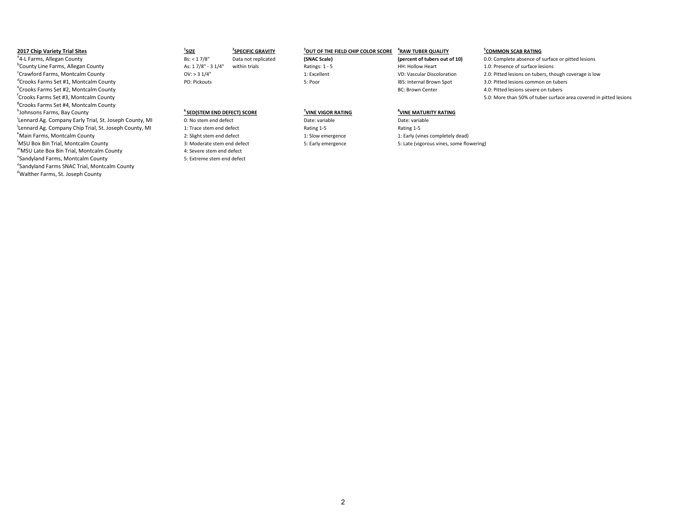| <b>2017 Chip Variety Trial Sites</b><br>"4-L Farms, Allegan County<br><sup>o</sup> County Line Farms, Allegan County<br><sup>C</sup> rawford Farms, Montcalm County | <sup>1</sup> SIZE<br>Bs: < 17/8"<br>As: 17/8" - 31/4"<br>OV: > 31/4" | <b>SPECIFIC GRAVITY</b><br>Data not replicated<br>within trials | OUT OF THE FIELD CHIP COLOR SCORE<br>(SNAC Scale)<br>Ratings: 1 - 5<br>1: Excellent | <b>"RAW TUBER QUALITY</b><br>(percent of tubers out of 10)<br>HH: Hollow Heart<br>VD: Vascular Discoloration | <b>COMMON SCAB RATING</b><br>0.0: Complete absence of surface or pitted lesions<br>1.0: Presence of surface lesions<br>2.0: Pitted lesions on tubers, though coverage is low |
|---------------------------------------------------------------------------------------------------------------------------------------------------------------------|----------------------------------------------------------------------|-----------------------------------------------------------------|-------------------------------------------------------------------------------------|--------------------------------------------------------------------------------------------------------------|------------------------------------------------------------------------------------------------------------------------------------------------------------------------------|
| Crooks Farms Set #1. Montcalm County                                                                                                                                | PO: Pickouts                                                         |                                                                 | 5: Poor                                                                             | IBS: Internal Brown Spot                                                                                     | 3.0: Pitted lesions common on tubers                                                                                                                                         |
| <sup>e</sup> Crooks Farms Set #2, Montcalm County                                                                                                                   |                                                                      |                                                                 |                                                                                     | <b>BC: Brown Center</b>                                                                                      | 4.0: Pitted lesions severe on tubers                                                                                                                                         |
| <sup>T</sup> Crooks Farms Set #3. Montcalm County                                                                                                                   |                                                                      |                                                                 |                                                                                     |                                                                                                              | 5.0: More than 50% of tuber surface area covered in pitted lesions                                                                                                           |
| <sup>8</sup> Crooks Farms Set #4. Montcalm County                                                                                                                   |                                                                      |                                                                 |                                                                                     |                                                                                                              |                                                                                                                                                                              |
| "Johnsons Farms, Bay County                                                                                                                                         | SED(STEM END DEFECT) SCORE                                           |                                                                 | VINE VIGOR RATING                                                                   | UINE MATURITY RATING                                                                                         |                                                                                                                                                                              |
| 'Lennard Ag. Company Early Trial, St. Joseph County, MI                                                                                                             | 0: No stem end defect                                                |                                                                 | Date: variable                                                                      | Date: variable                                                                                               |                                                                                                                                                                              |
| Lennard Ag. Company Chip Trial, St. Joseph County, MI                                                                                                               | 1: Trace stem end defect                                             |                                                                 | Rating 1-5                                                                          | Rating 1-5                                                                                                   |                                                                                                                                                                              |
| Nain Farms. Montcalm County"                                                                                                                                        | 2: Slight stem end defect                                            |                                                                 | 1: Slow emergence                                                                   | 1: Early (vines completely dead)                                                                             |                                                                                                                                                                              |
| 'MSU Box Bin Trial, Montcalm County                                                                                                                                 | 3: Moderate stem end defect                                          |                                                                 | 5: Early emergence                                                                  | 5: Late (vigorous vines, some flowering)                                                                     |                                                                                                                                                                              |
| "MSU Late Box Bin Trial, Montcalm County                                                                                                                            | 4: Severe stem end defect                                            |                                                                 |                                                                                     |                                                                                                              |                                                                                                                                                                              |
| "Sandyland Farms, Montcalm County                                                                                                                                   | 5: Extreme stem end defect                                           |                                                                 |                                                                                     |                                                                                                              |                                                                                                                                                                              |
| <sup>o</sup> Sandyland Farms SNAC Trial, Montcalm County                                                                                                            |                                                                      |                                                                 |                                                                                     |                                                                                                              |                                                                                                                                                                              |

<sup>P</sup>Walther Farms, St. Joseph County

## 2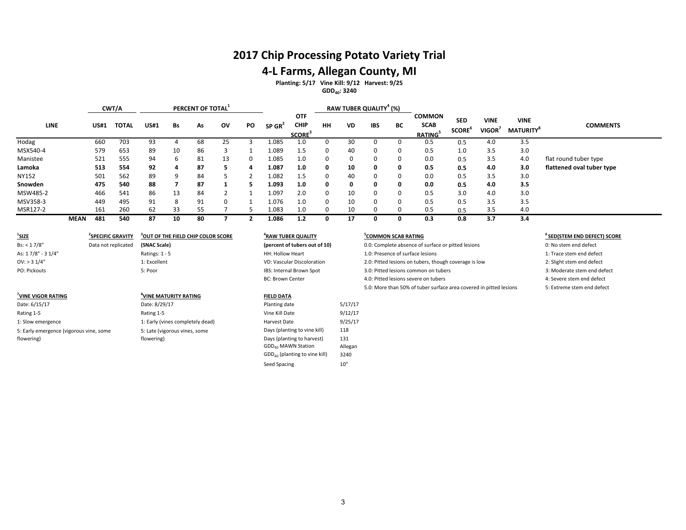## **2017 Chip Processing Potato Variety Trial**

## **4-L Farms, Allegan County, MI**

**Planting: 5/17 Vine Kill: 9/12 Harvest: 9/25**

## **GDD40: 3240**

|             |             |             | CWT/A        |             |    | PERCENT OF TOTAL |          |    | RAW TUBER QUALITY <sup>4</sup> (%) |                                                        |           |           |            |          |                                               |                                         |                             |                                |                           |
|-------------|-------------|-------------|--------------|-------------|----|------------------|----------|----|------------------------------------|--------------------------------------------------------|-----------|-----------|------------|----------|-----------------------------------------------|-----------------------------------------|-----------------------------|--------------------------------|---------------------------|
| <b>LINE</b> |             | <b>US#1</b> | <b>TOTAL</b> | <b>US#1</b> | Bs | As               | ov       | PO | $SP$ GR <sup>2</sup>               | <b>OTF</b><br><b>CHIP</b><br><b>SCORE</b> <sup>3</sup> | <b>HH</b> | <b>VD</b> | <b>IBS</b> | BC       | <b>COMMON</b><br><b>SCAB</b><br><b>RATING</b> | <b>SED</b><br><b>SCORE</b> <sup>°</sup> | <b>VINE</b><br><b>VIGOR</b> | <b>VINE</b><br><b>MATURITY</b> | <b>COMMENTS</b>           |
| Hodag       |             | 660         | 703          | 93          | 4  | 68               | 25       |    | 1.085                              | 1.0                                                    |           | 30        |            |          | 0.5                                           | 0.5                                     | 4.0                         | 3.5                            |                           |
| MSX540-4    |             | 579         | 653          | 89          | 10 | 86               | 3        |    | 1.089                              | 1.5                                                    |           | 40        | $\Omega$   | 0        | 0.5                                           | 1.0                                     | 3.5                         | 3.0                            |                           |
| Manistee    |             | 521         | 555          | 94          | 6  | 81               | 13       | O. | 1.085                              | $1.0\,$                                                | 0         | $\Omega$  | 0          | $\Omega$ | 0.0                                           | 0.5                                     | 3.5                         | 4.0                            | flat round tuber type     |
| Lamoka      |             | 513         | 554          | 92          | 4  | 87               | ь.       | 4  | 1.087                              | 1.0                                                    | 0         | 10        | 0          | 0        | 0.5                                           | 0.5                                     | 4.0                         | 3.0                            | flattened oval tuber type |
| NY152       |             | 501         | 562          | 89          | 9  | 84               |          |    | 1.082                              | 1.5                                                    |           | 40        | 0          | 0        | 0.0                                           | 0.5                                     | 3.5                         | 3.0                            |                           |
| Snowden     |             | 475         | 540          | 88          |    | 87               |          |    | 1.093                              | 1.0                                                    | 0         | 0         | 0          | 0        | 0.0                                           | 0.5                                     | 4.0                         | 3.5                            |                           |
| MSW485-2    |             | 466         | 541          | 86          | 13 | 84               |          |    | 1.097                              | 2.0                                                    | $\Omega$  | 10        | $\Omega$   | 0        | 0.5                                           | 3.0                                     | 4.0                         | 3.0                            |                           |
| MSV358-3    |             | 449         | 495          | 91          | 8  | 91               | $\Omega$ |    | 1.076                              | 1.0                                                    | 0         | 10        | $\Omega$   | 0        | 0.5                                           | 0.5                                     | 3.5                         | 3.5                            |                           |
| MSR127-2    |             | 161         | 260          | 62          | 33 | 55               |          |    | 1.083                              | 1.0 <sub>1</sub>                                       |           | 10        | n          |          | 0.5                                           | 0.5                                     | 3.5                         | 4.0                            |                           |
|             | <b>MEAN</b> | 481         | 540          | 87          | 10 | 80               |          |    | 1.086                              | 1.2                                                    |           | 17        | 0          | 0        | 0.3                                           | 0.8                                     | 3.7                         | 3.4                            |                           |

| <u>'SIZE</u>                            | <b>SPECIFIC GRAVITY</b> | OUT OF THE FIELD CHIP COLOR SCORE * | <sup>"</sup> RAW TUBER QUALITY |         | <b>COMMON SCAB RATING</b>                                          | ° SED(STEM END DEFECT) SCC  |
|-----------------------------------------|-------------------------|-------------------------------------|--------------------------------|---------|--------------------------------------------------------------------|-----------------------------|
| Bs: < 17/8"                             | Data not replicated     | (SNAC Scale)                        | (percent of tubers out of 10)  |         | 0.0: Complete absence of surface or pitted lesions                 | 0: No stem end defect       |
| As: 17/8" - 3 1/4"                      |                         | Ratings: $1 - 5$                    | <b>HH: Hollow Heart</b>        |         | 1.0: Presence of surface lesions                                   | 1: Trace stem end defect    |
| $OV:$ > 3 $1/4"$                        |                         | 1: Excellent                        | VD: Vascular Discoloration     |         | 2.0: Pitted lesions on tubers, though coverage is low              | 2: Slight stem end defect   |
| PO: Pickouts                            |                         | 5: Poor                             | IBS: Internal Brown Spot       |         | 3.0: Pitted lesions common on tubers                               | 3: Moderate stem end defect |
|                                         |                         |                                     | <b>BC: Brown Center</b>        |         | 4.0: Pitted lesions severe on tubers                               | 4: Severe stem end defect   |
|                                         |                         |                                     |                                |         | 5.0: More than 50% of tuber surface area covered in pitted lesions | 5: Extreme stem end defect  |
| VINE VIGOR RATING                       |                         | UINE MATURITY RATING                | <b>FIELD DATA</b>              |         |                                                                    |                             |
| Date: 6/15/17                           |                         | Date: 8/29/17                       | Planting date                  | 5/17/17 |                                                                    |                             |
| Rating 1-5                              |                         | Rating 1-5                          | Vine Kill Date                 | 9/12/17 |                                                                    |                             |
| 1: Slow emergence                       |                         | 1: Early (vines completely dead)    | Harvest Date                   | 9/25/17 |                                                                    |                             |
| 5: Early emergence (vigorous vine, some |                         | 5: Late (vigorous vines, some       | Days (planting to vine kill)   | 118     |                                                                    |                             |
| flowering)                              |                         | flowering)                          | Days (planting to harvest)     | 131     |                                                                    |                             |

# **(SNAC Scale) (percent of tubers out of 10)**

#### **VINE MATURITY RATING FIELD DATA**

| Planting date                             | 5/17/1  |
|-------------------------------------------|---------|
| Vine Kill Date                            | 9/12/1  |
| Harvest Date                              | 9/25/1  |
| Days (planting to vine kill)              | 118     |
| Days (planting to harvest)                | 131     |
| GDD <sub>40</sub> MAWN Station            | Allegan |
| GDD <sub>40</sub> (planting to vine kill) | 3240    |
| Seed Spacing                              | 10"     |

## **EXECUTIVE SCAP SCAB RATING** *COMMON SCAB RATING*

- 
- 
- 
- 
- 
-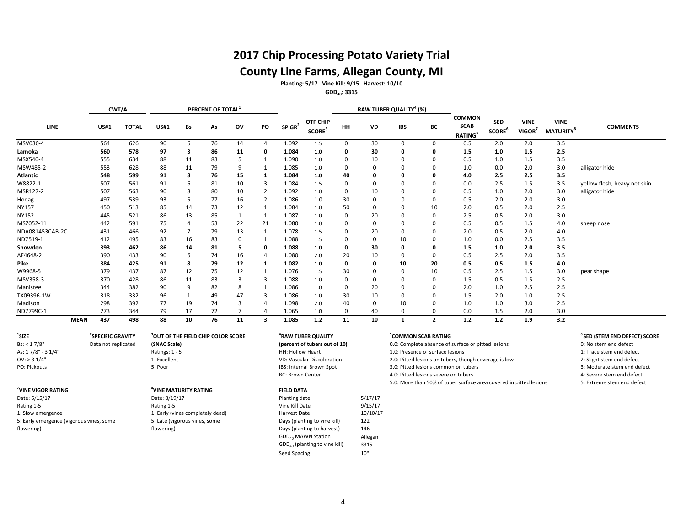# **2017 Chip Processing Potato Variety Trial County Line Farms, Allegan County, MI**

**Planting: 5/17 Vine Kill: 9/15 Harvest: 10/10**

**GDD40: 3315**

|                 | RAW TUBER QUALITY <sup>4</sup> (%)<br>PERCENT OF TOTAL <sup>1</sup><br>CWT/A |              |             |    |    |    |                |                      |                                       |    |    |              |                |                                               |                                         |                       |                                             |                              |
|-----------------|------------------------------------------------------------------------------|--------------|-------------|----|----|----|----------------|----------------------|---------------------------------------|----|----|--------------|----------------|-----------------------------------------------|-----------------------------------------|-----------------------|---------------------------------------------|------------------------------|
| LINE            | <b>US#1</b>                                                                  | <b>TOTAL</b> | <b>US#1</b> | Bs | As | ov | PO             | $SP$ GR <sup>2</sup> | <b>OTF CHIP</b><br>SCORE <sup>3</sup> | HH | VD | <b>IBS</b>   | ВC             | <b>COMMON</b><br><b>SCAB</b><br><b>RATING</b> | <b>SED</b><br><b>SCORE</b> <sup>b</sup> | <b>VINE</b><br>VIGOR' | <b>VINE</b><br><b>MATURITY</b> <sup>8</sup> | <b>COMMENTS</b>              |
| MSV030-4        | 564                                                                          | 626          | 90          | 6  | 76 | 14 | $\overline{4}$ | 1.092                | 1.5                                   | 0  | 30 | 0            | $\Omega$       | 0.5                                           | 2.0                                     | 2.0                   | 3.5                                         |                              |
| Lamoka          | 560                                                                          | 578          | 97          | 3  | 86 | 11 | 0              | 1.084                | 1.0                                   | 0  | 30 | 0            | 0              | 1.5                                           | 1.0                                     | 1.5                   | 2.5                                         |                              |
| MSX540-4        | 555                                                                          | 634          | 88          | 11 | 83 |    |                | 1.090                | 1.0                                   | 0  | 10 | $\Omega$     |                | 0.5                                           | 1.0                                     | 1.5                   | 3.5                                         |                              |
| MSW485-2        | 553                                                                          | 628          | 88          | 11 | 79 | 9  |                | 1.085                | 1.0                                   | 0  | 0  | <sup>0</sup> |                | 1.0                                           | 0.0                                     | 2.0                   | 3.0                                         | alligator hide               |
| Atlantic        | 548                                                                          | 599          | 91          | 8  | 76 | 15 |                | 1.084                | 1.0                                   | 40 |    | O            |                | 4.0                                           | 2.5                                     | 2.5                   | 3.5                                         |                              |
| W8822-1         | 507                                                                          | 561          | 91          | 6  | 81 | 10 | 3              | 1.084                | 1.5                                   | 0  | 0  | $\Omega$     |                | 0.0                                           | 2.5                                     | 1.5                   | 3.5                                         | yellow flesh, heavy net skin |
| MSR127-2        | 507                                                                          | 563          | 90          | 8  | 80 | 10 | $\overline{2}$ | 1.092                | 1.0                                   | 0  | 10 | $\Omega$     |                | 0.5                                           | 1.0                                     | 2.0                   | 3.0                                         | alligator hide               |
| Hodag           | 497                                                                          | 539          | 93          |    | 77 | 16 | $\overline{2}$ | 1.086                | 1.0                                   | 30 | 0  | 0            | 0              | 0.5                                           | 2.0                                     | 2.0                   | 3.0                                         |                              |
| <b>NY157</b>    | 450                                                                          | 513          | 85          | 14 | 73 | 12 |                | 1.084                | 1.0                                   | 50 | 0  | $\Omega$     | 10             | 2.0                                           | 0.5                                     | 2.0                   | 2.5                                         |                              |
| NY152           | 445                                                                          | 521          | 86          | 13 | 85 |    | 1              | 1.087                | 1.0                                   | 0  | 20 | $\mathbf 0$  | 0              | 2.5                                           | 0.5                                     | 2.0                   | 3.0                                         |                              |
| MSZ052-11       | 442                                                                          | 591          | 75          |    | 53 | 22 | 21             | 1.080                | 1.0                                   | 0  | 0  | $\Omega$     |                | 0.5                                           | 0.5                                     | 1.5                   | 4.0                                         | sheep nose                   |
| NDA081453CAB-2C | 431                                                                          | 466          | 92          |    | 79 | 13 |                | 1.078                | 1.5                                   | 0  | 20 | $\Omega$     |                | 2.0                                           | 0.5                                     | 2.0                   | 4.0                                         |                              |
| ND7519-1        | 412                                                                          | 495          | 83          | 16 | 83 | 0  |                | 1.088                | 1.5                                   | 0  | 0  | 10           |                | 1.0                                           | 0.0                                     | 2.5                   | 3.5                                         |                              |
| Snowden         | 393                                                                          | 462          | 86          | 14 | 81 |    | $\mathbf{o}$   | 1.088                | 1.0                                   | 0  | 30 | 0            | 0              | 1.5                                           | 1.0                                     | 2.0                   | 3.5                                         |                              |
| AF4648-2        | 390                                                                          | 433          | 90          | 6  | 74 | 16 | 4              | 1.080                | 2.0                                   | 20 | 10 | 0            | 0              | 0.5                                           | 2.5                                     | 2.0                   | 3.5                                         |                              |
| Pike            | 384                                                                          | 425          | 91          | 8  | 79 | 12 |                | 1.082                | 1.0                                   | 0  | O  | 10           | 20             | 0.5                                           | 0.5                                     | 1.5                   | 4.0                                         |                              |
| W9968-5         | 379                                                                          | 437          | 87          | 12 | 75 | 12 |                | 1.076                | 1.5                                   | 30 |    | 0            | 10             | 0.5                                           | 2.5                                     | 1.5                   | 3.0                                         | pear shape                   |
| MSV358-3        | 370                                                                          | 428          | 86          | 11 | 83 | 3  | 3              | 1.088                | 1.0                                   | 0  | 0  | $\Omega$     | 0              | 1.5                                           | 0.5                                     | 1.5                   | 2.5                                         |                              |
| Manistee        | 344                                                                          | 382          | 90          |    | 82 | 8  |                | 1.086                | 1.0                                   | 0  | 20 | 0            | 0              | 2.0                                           | 1.0                                     | 2.5                   | 2.5                                         |                              |
| TX09396-1W      | 318                                                                          | 332          | 96          |    | 49 | 47 | 3              | 1.086                | 1.0                                   | 30 | 10 | $\Omega$     |                | 1.5                                           | 2.0                                     | 1.0                   | 2.5                                         |                              |
| Madison         | 298                                                                          | 392          | 77          | 19 | 74 | 3  |                | 1.098                | 2.0                                   | 40 | 0  | 10           |                | 1.0                                           | 1.0                                     | 3.0                   | 2.5                                         |                              |
| ND7799C-1       | 273                                                                          | 344          | 79          | 17 | 72 |    | 4              | 1.065                | 1.0                                   | 0  | 40 | 0            | 0              | 0.0                                           | 1.5                                     | 2.0                   | 3.0                                         |                              |
| <b>MEAN</b>     | 437                                                                          | 498          | 88          | 10 | 76 | 11 | 3              | 1.085                | 1.2                                   | 11 | 10 | 1            | $\overline{2}$ | 1.2                                           | 1.2                                     | 1.9                   | 3.2                                         |                              |

| $\frac{1}{2}$ SIZE                       | <b>SPECIFIC GRAVITY</b> | OUT OF THE FIELD CHIP COLOR SCORE | <sup>4</sup> RAW TUBER QUALITY |          | COMMON SCAB RATING                                                 | <sup>6</sup> SED (STEM END DEFECT) SCORE |
|------------------------------------------|-------------------------|-----------------------------------|--------------------------------|----------|--------------------------------------------------------------------|------------------------------------------|
| Bs: < 17/8"                              | Data not replicated     | (SNAC Scale)                      | (percent of tubers out of 10)  |          | 0.0: Complete absence of surface or pitted lesions                 | 0: No stem end defect                    |
| As: 17/8" - 31/4"                        |                         | Ratings: $1 - 5$                  | HH: Hollow Heart               |          | 1.0: Presence of surface lesions                                   | 1: Trace stem end defect                 |
| $OV:$ > 3 1/4"                           |                         | 1: Excellent                      | VD: Vascular Discoloration     |          | 2.0: Pitted lesions on tubers, though coverage is low              | 2: Slight stem end defect                |
| PO: Pickouts                             |                         | 5: Poor                           | IBS: Internal Brown Spot       |          | 3.0: Pitted lesions common on tubers                               | 3: Moderate stem end defect              |
|                                          |                         |                                   | <b>BC: Brown Center</b>        |          | 4.0: Pitted lesions severe on tubers                               | 4: Severe stem end defect                |
|                                          |                         |                                   |                                |          | 5.0: More than 50% of tuber surface area covered in pitted lesions | 5: Extreme stem end defect               |
| <b>VINE VIGOR RATING</b>                 |                         | <sup>8</sup> VINE MATURITY RATING | <b>FIELD DATA</b>              |          |                                                                    |                                          |
| Date: 6/15/17                            |                         | Date: 8/19/17                     | Planting date                  | 5/17/17  |                                                                    |                                          |
| Rating 1-5                               |                         | Rating 1-5                        | Vine Kill Date                 | 9/15/17  |                                                                    |                                          |
| 1: Slow emergence                        |                         | 1: Early (vines completely dead)  | Harvest Date                   | 10/10/17 |                                                                    |                                          |
| 5: Early emergence (vigorous vines, some |                         | 5: Late (vigorous vines, some     | Days (planting to vine kill)   | 122      |                                                                    |                                          |
| flowering)                               |                         | flowering)                        | Days (planting to harvest)     | 146      |                                                                    |                                          |

 $GDD_{40}$  MAWN Station Allegan<br> $GDD_{40}$  (planting to vine kill) 3315

 $GDD_{40}$  (planting to vine kill) Seed Spacing 10"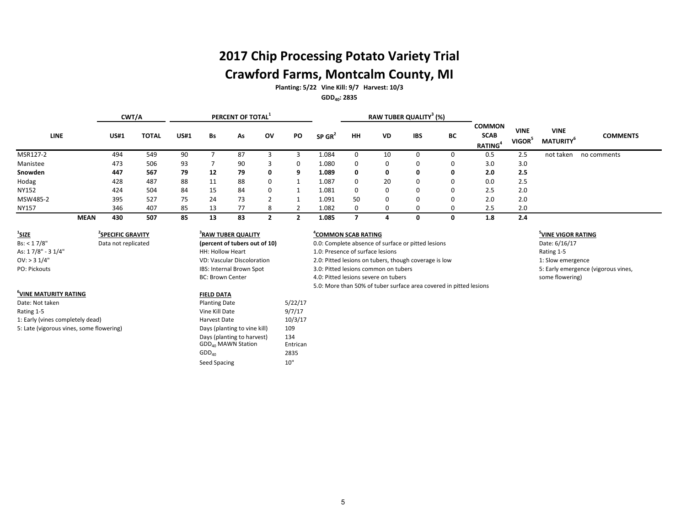# **2017 Chip Processing Potato Variety Trial Crawford Farms, Montcalm County, MI**

**Planting: 5/22 Vine Kill: 9/7 Harvest: 10/3 GDD40: 2835**

|              |             | CWT/A       |              |             |    | PERCENT OF TOTAL <sup>1</sup> |          |    |                      |                                     |                                                            | RAW TUBER QUALITY <sup>3</sup> (%) |                                             |                 |     |           |             |
|--------------|-------------|-------------|--------------|-------------|----|-------------------------------|----------|----|----------------------|-------------------------------------|------------------------------------------------------------|------------------------------------|---------------------------------------------|-----------------|-----|-----------|-------------|
| LINE         |             | <b>US#1</b> | <b>TOTAL</b> | <b>US#1</b> | Bs | As                            | ov       | PO | $SP$ GR <sup>2</sup> | <b>IBS</b><br>HH<br><b>VD</b><br>BC | <b>COMMON</b><br><b>SCAB</b><br><b>RATING</b> <sup>4</sup> | <b>VINE</b><br>VIGOR <sup>5</sup>  | <b>VINE</b><br><b>MATURITY</b> <sup>6</sup> | <b>COMMENTS</b> |     |           |             |
| MSR127-2     |             | 494         | 549          | 90          |    | 87                            |          |    | 1.084                |                                     | 10                                                         |                                    | 0                                           | 0.5             | 2.5 | not taken | no comments |
| Manistee     |             | 473         | 506          | 93          |    | 90                            |          | 0  | 1.080                | $\Omega$                            |                                                            | 0                                  | 0                                           | 3.0             | 3.0 |           |             |
| Snowden      |             | 447         | 567          | 79          | 12 | 79                            | 0        | 9  | 1.089                | 0                                   | Ω                                                          | 0                                  | 0                                           | 2.0             | 2.5 |           |             |
| Hodag        |             | 428         | 487          | 88          | 11 | 88                            | 0        |    | 1.087                | $\Omega$                            | 20                                                         | 0                                  | 0                                           | 0.0             | 2.5 |           |             |
| NY152        |             | 424         | 504          | 84          | 15 | 84                            | $\Omega$ |    | 1.081                |                                     |                                                            | 0                                  | 0                                           | 2.5             | 2.0 |           |             |
| MSW485-2     |             | 395         | 527          | 75          | 24 | 73                            |          |    | 1.091                | 50                                  |                                                            | 0                                  | 0                                           | 2.0             | 2.0 |           |             |
| <b>NY157</b> |             | 346         | 407          | 85          | 13 | 77                            |          |    | 1.082                |                                     |                                                            | 0                                  | 0                                           | 2.5             | 2.0 |           |             |
|              | <b>MEAN</b> | 430         | 507          | 85          | 13 | 83                            |          |    | 1.085                |                                     |                                                            | 0                                  | 0                                           | 1.8             | 2.4 |           |             |

| $1$ SIZE          |   |
|-------------------|---|
| Bs: < 17/8"       | г |
| As: 17/8" - 31/4" |   |
| $OV:$ > 3 $1/4"$  |   |
| PO: Pickouts      |   |

## **6 VINE MATURITY RATING FIELD DATA**

Date: Not taken and the set of the set of the Planting Date 5/22/17 Rating 1-5 **Contract Contract Contract Contract Contract Contract Contract Contract Contract Contract Contract Contract Contract Contract Contract Contract Contract Contract Contract Contract Contract Contract Contract Con** 1: Early (vines completely dead) Harvest Date 10/3/17 5: Late (vigorous vines, some flowering) and the control of pays (planting to vine kill) 109

**SPECIFIC GRAVITY <sup>4</sup>**

| <sup>3</sup> RAW TUBER QUALITY    |  |  |  |  |  |  |  |  |  |  |
|-----------------------------------|--|--|--|--|--|--|--|--|--|--|
| (percent of tubers out of 10)     |  |  |  |  |  |  |  |  |  |  |
| HH: Hollow Heart                  |  |  |  |  |  |  |  |  |  |  |
| <b>VD: Vascular Discoloration</b> |  |  |  |  |  |  |  |  |  |  |
| IBS: Internal Brown Spot          |  |  |  |  |  |  |  |  |  |  |
| <b>BC: Brown Center</b>           |  |  |  |  |  |  |  |  |  |  |

 $GDD<sub>40</sub>$ 

Days (planting to harvest)  $134$ <br>GDD<sub>40</sub> MAWN Station Entrican  $GDD_{40}$  MAWN Station Entrican<br>GDD<sub>40</sub> 2835

Seed Spacing 10"

### **COMMON SCAB RATING <sup>5</sup>**

Bs: < 17/8" Data not replicated **(percent of tubers out of 10)** 0.0: Complete absence of surface or pitted lesions Date: 6/16/17 1.0: Presence of surface lesions Rating 1-5 OV: > 3 1/4" The Matter of the Coverage is a state of the Coverage is low the Coverage is low the Coverage is low the Coverage is low the Coverage is low the Coverage is low the Coverage is low the Coverage is low the Cove 3.0: Pitted lesions common on tubers A.O: Pitted lesions severe on tubers some flowering) 5.0: More than 50% of tuber surface area covered in pitted lesions

## **<sup>5</sup>VINE VIGOR RATING**

5: Early emergence (vigorous vines,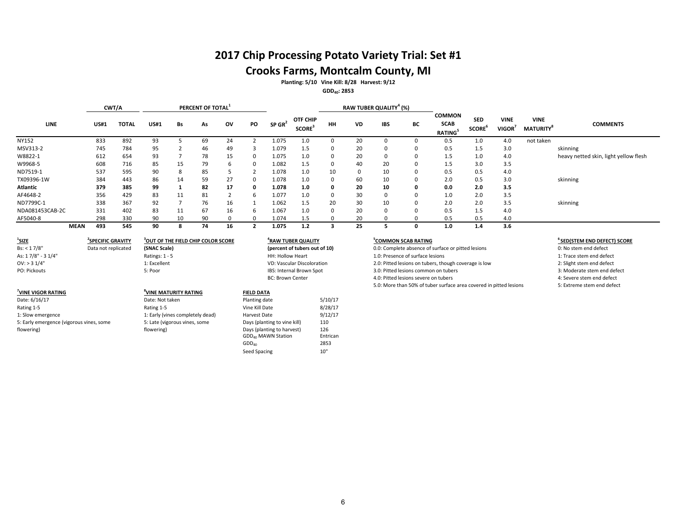# **2017 Chip Processing Potato Variety Trial: Set #1**

# **Crooks Farms, Montcalm County, MI**

**Planting: 5/10 Vine Kill: 8/28 Harvest: 9/12**

**GDD40: 2853**

|                 |             | CWT/A        |             |    | PERCENT OF TOTAL <sup>1</sup> |    |    | RAW TUBER QUALITY <sup>4</sup> (%) |                                      |           |           |            |    |                                                            |                                         |                           |                                            |                                       |
|-----------------|-------------|--------------|-------------|----|-------------------------------|----|----|------------------------------------|--------------------------------------|-----------|-----------|------------|----|------------------------------------------------------------|-----------------------------------------|---------------------------|--------------------------------------------|---------------------------------------|
| <b>LINE</b>     | <b>US#1</b> | <b>TOTAL</b> | <b>US#1</b> | Bs | As                            | ov | PO | $SP$ GR <sup>2</sup>               | OTF CHIP<br><b>SCORE<sup>3</sup></b> | <b>HH</b> | <b>VD</b> | <b>IBS</b> | BC | <b>COMMON</b><br><b>SCAB</b><br><b>RATING</b> <sup>5</sup> | <b>SED</b><br><b>SCORE</b> <sup>b</sup> | <b>VINE</b><br>VIGOR $^7$ | <b>VINE</b><br><b>MATURITY<sup>8</sup></b> | <b>COMMENTS</b>                       |
| <b>NY152</b>    | 833         | 892          | 93          |    | 69                            | 24 |    | 1.075                              | 1.0                                  |           | 20        |            |    | 0.5                                                        | 1.0                                     | 4.0                       | not taken                                  |                                       |
| MSV313-2        | 745         | 784          | 95          |    | 46                            | 49 |    | 1.079                              | 1.5                                  | $\Omega$  | 20        |            |    | 0.5                                                        | 1.5                                     | 3.0                       |                                            | skinning                              |
| W8822-1         | 612         | 654          | 93          |    | 78                            | 15 |    | 1.075                              | 1.0                                  |           | 20        |            |    | 1.5                                                        | 1.0                                     | 4.0                       |                                            | heavy netted skin, light yellow flesh |
| W9968-5         | 608         | 716          | 85          | 15 | 79                            | h  |    | 1.082                              | $1.5\,$                              |           | 40        | 20         |    | 1.5                                                        | 3.0                                     | 3.5                       |                                            |                                       |
| ND7519-1        | 537         | 595          | 90          | 8  | 85                            |    |    | 1.078                              | 1.0                                  | 10        |           | 10         |    | 0.5                                                        | 0.5                                     | 4.0                       |                                            |                                       |
| TX09396-1W      | 384         | 443          | 86          | 14 | 59                            | 27 |    | 1.078                              | 1.0                                  | $\Omega$  | 60        | 10         |    | 2.0                                                        | 0.5                                     | 3.0                       |                                            | skinning                              |
| <b>Atlantic</b> | 379         | 385          | 99          |    | 82                            | 17 |    | 1.078                              | 1.0                                  |           | 20        | 10         |    | 0.0                                                        | 2.0                                     | 3.5                       |                                            |                                       |
| AF4648-2        | 356         | 429          | 83          | 11 | 81                            |    | ь. | 1.077                              | 1.0                                  | $\Omega$  | 30        |            |    | 1.0                                                        | 2.0                                     | 3.5                       |                                            |                                       |
| ND7799C-1       | 338         | 367          | 92          |    | 76                            | 16 |    | 1.062                              | 1.5                                  | 20        | 30        | 10         |    | 2.0                                                        | 2.0                                     | 3.5                       |                                            | skinning                              |
| NDA081453CAB-2C | 331         | 402          | 83          | 11 | 67                            | 16 | b  | 1.067                              | 1.0                                  | $\Omega$  | 20        |            |    | 0.5                                                        | 1.5                                     | 4.0                       |                                            |                                       |
| AF5040-8        | 298         | 330          | 90          | 10 | 90                            |    |    | 1.074                              | 1.5                                  |           | 20        |            |    | 0.5                                                        | 0.5                                     | 4.0                       |                                            |                                       |
| <b>MEAN</b>     | 493         | 545          | 90          |    | 74                            | 16 |    | 1.075                              | 1.2                                  |           | 25        |            |    | 1.0                                                        | 1.4                                     | 3.6                       |                                            |                                       |

| $^{\prime}$ SIZE                         | <b><i>SPECIFIC GRAVITY</i></b> | OUT OF THE FIELD CHIP COLOR SCORE <sup>3</sup> | <sup>4</sup> RAW TUBER QUALITY |          | COMMON SCAB RATING                                                 | SED(STEM END DEFECT) SC     |
|------------------------------------------|--------------------------------|------------------------------------------------|--------------------------------|----------|--------------------------------------------------------------------|-----------------------------|
| Bs: < 17/8"                              | Data not replicated            | (SNAC Scale)                                   | (percent of tubers out of 10)  |          | 0.0: Complete absence of surface or pitted lesions                 | 0: No stem end defect       |
| As: 17/8" - 3 1/4"                       |                                | Ratings: 1 - 5                                 | HH: Hollow Heart               |          | 1.0: Presence of surface lesions                                   | 1: Trace stem end defect    |
| $OV:$ > 3 1/4"                           |                                | 1: Excellent                                   | VD: Vascular Discoloration     |          | 2.0: Pitted lesions on tubers, though coverage is low              | 2: Slight stem end defect   |
| PO: Pickouts                             |                                | 5: Poor                                        | IBS: Internal Brown Spot       |          | 3.0: Pitted lesions common on tubers                               | 3: Moderate stem end defect |
|                                          |                                |                                                | <b>BC: Brown Center</b>        |          | 4.0: Pitted lesions severe on tubers                               | 4: Severe stem end defect   |
|                                          |                                |                                                |                                |          | 5.0: More than 50% of tuber surface area covered in pitted lesions | 5: Extreme stem end defect  |
| <b>VINE VIGOR RATING</b>                 |                                | UINE MATURITY RATING                           | <b>FIELD DATA</b>              |          |                                                                    |                             |
| Date: 6/16/17                            |                                | Date: Not taken                                | Planting date                  | 5/10/17  |                                                                    |                             |
| Rating 1-5                               |                                | Rating 1-5                                     | Vine Kill Date                 | 8/28/17  |                                                                    |                             |
| 1: Slow emergence                        |                                | 1: Early (vines completely dead)               | Harvest Date                   | 9/12/17  |                                                                    |                             |
| 5: Early emergence (vigorous vines, some |                                | 5: Late (vigorous vines, some                  | Days (planting to vine kill)   | 110      |                                                                    |                             |
| flowering)                               |                                | flowering)                                     | Days (planting to harvest)     | 126      |                                                                    |                             |
|                                          |                                |                                                | GDD <sub>40</sub> MAWN Station | Entrican |                                                                    |                             |
|                                          |                                |                                                | GDD <sub>40</sub>              | 2853     |                                                                    |                             |

Seed Spacing 10"

# **<u><sup>6</sup> SED(STEM END DEFECT) SCORE</u>**<br>0: No stem end defect

- 
- 

- 
- 4: Severe stem end defect<br>B: Extreme stem end defect<br>5: Extreme stem end defect 5: Extreme stem end defect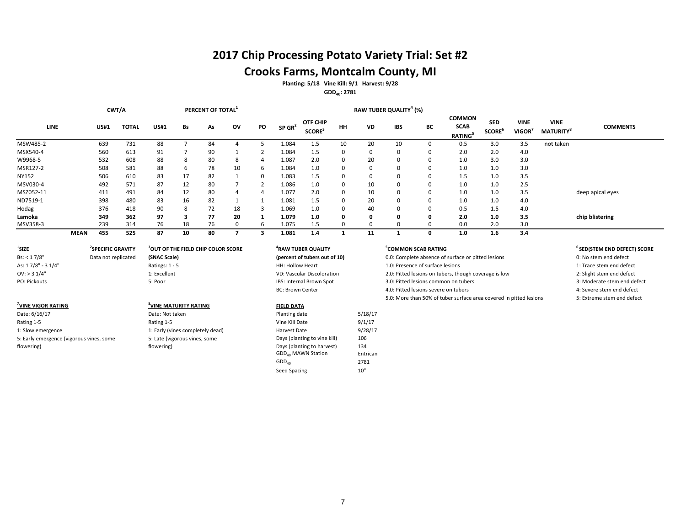# **2017 Chip Processing Potato Variety Trial: Set #2 Crooks Farms, Montcalm County, MI**

**Planting: 5/18 Vine Kill: 9/1 Harvest: 9/28**

**GDD40: 2781**

|           |             | CWT/A       |              | PERCENT OF TOTAL <sup>1</sup> |    |    |    |          |                      |                                       |          |           | RAW TUBER QUALITY <sup>4</sup> (%) |          |                                        |                                         |                       |                                             |                  |
|-----------|-------------|-------------|--------------|-------------------------------|----|----|----|----------|----------------------|---------------------------------------|----------|-----------|------------------------------------|----------|----------------------------------------|-----------------------------------------|-----------------------|---------------------------------------------|------------------|
| LINE      |             | <b>US#1</b> | <b>TOTAL</b> | <b>US#1</b>                   | Bs | As | ov | PO       | $SP$ GR <sup>2</sup> | <b>OTF CHIP</b><br>SCORE <sup>3</sup> | HH       | <b>VD</b> | <b>IBS</b>                         | BC       | <b>COMMON</b><br>SCAB<br><b>RATING</b> | <b>SED</b><br><b>SCORE</b> <sup>°</sup> | <b>VINE</b><br>VIGOR' | <b>VINE</b><br><b>MATURITY</b> <sup>8</sup> | <b>COMMENTS</b>  |
| MSW485-2  |             | 639         | 731          | 88                            |    | 84 |    |          | 1.084                | 1.5                                   | 10       | 20        | 10                                 |          | 0.5                                    | 3.0                                     | 3.5                   | not taken                                   |                  |
| MSX540-4  |             | 560         | 613          | 91                            |    | 90 |    |          | 1.084                | 1.5                                   | $\Omega$ |           | $\mathbf 0$                        |          | 2.0                                    | 2.0                                     | 4.0                   |                                             |                  |
| W9968-5   |             | 532         | 608          | 88                            | 8  | 80 | 8  | 4        | 1.087                | 2.0                                   | 0        | 20        | $\mathbf 0$                        |          | 1.0                                    | 3.0                                     | 3.0                   |                                             |                  |
| MSR127-2  |             | 508         | 581          | 88                            | b  | 78 | 10 | -6       | 1.084                | 1.0                                   | $\Omega$ |           | $\mathbf 0$                        |          | 1.0                                    | 1.0                                     | 3.0                   |                                             |                  |
| NY152     |             | 506         | 610          | 83                            | 17 | 82 |    | $\Omega$ | 1.083                | 1.5                                   | 0        |           | $\mathbf 0$                        |          | 1.5                                    | 1.0                                     | 3.5                   |                                             |                  |
| MSV030-4  |             | 492         | 571          | 87                            | 12 | 80 |    |          | 1.086                | 1.0                                   | 0        | 10        | $\mathbf 0$                        |          | 1.0                                    | 1.0                                     | 2.5                   |                                             |                  |
| MSZ052-11 |             | 411         | 491          | 84                            | 12 | 80 | 4  | 4        | 1.077                | 2.0                                   | 0        | 10        | 0                                  | $\Omega$ | 1.0                                    | 1.0                                     | 3.5                   |                                             | deep apical eyes |
| ND7519-1  |             | 398         | 480          | 83                            | 16 | 82 |    |          | 1.081                | 1.5                                   | $\Omega$ | 20        | $\mathbf 0$                        | $\Omega$ | 1.0                                    | 1.0                                     | 4.0                   |                                             |                  |
| Hodag     |             | 376         | 418          | 90                            | 8  | 72 | 18 |          | 1.069                | 1.0                                   | $\Omega$ | 40        | $\mathbf 0$                        |          | 0.5                                    | 1.5                                     | 4.0                   |                                             |                  |
| Lamoka    |             | 349         | 362          | 97                            |    | 77 | 20 |          | 1.079                | 1.0                                   | 0        |           | 0                                  |          | 2.0                                    | 1.0                                     | 3.5                   |                                             | chip blistering  |
| MSV358-3  |             | 239         | 314          | 76                            | 18 | 76 |    | ь        | 1.075                | 1.5                                   |          |           |                                    |          | 0.0                                    | 2.0                                     | 3.0                   |                                             |                  |
|           | <b>MEAN</b> | 455         | 525          | 87                            | 10 | 80 |    |          | 1.081                | 1.4                                   |          | 11        |                                    |          | 1.0                                    | 1.6                                     | 3.4                   |                                             |                  |

| <u>'SIZE</u>                             | <b>SPECIFIC GRAVITY</b> | OUT OF THE FIELD CHIP COLOR SCORE | <b>"RAW TUBER QUALITY</b>     |         | <b>COMMON SCAB RATING</b>                                          | ° SED(STEM END DEFECT) SC(  |
|------------------------------------------|-------------------------|-----------------------------------|-------------------------------|---------|--------------------------------------------------------------------|-----------------------------|
| Bs: < 17/8"                              | Data not replicated     | (SNAC Scale)                      | (percent of tubers out of 10) |         | 0.0: Complete absence of surface or pitted lesions                 | 0: No stem end defect       |
| As: 17/8" - 3 1/4"                       |                         | Ratings: $1 - 5$                  | HH: Hollow Heart              |         | 1.0: Presence of surface lesions                                   | 1: Trace stem end defect    |
| OV: > 31/4"                              |                         | 1: Excellent                      | VD: Vascular Discoloration    |         | 2.0: Pitted lesions on tubers, though coverage is low              | 2: Slight stem end defect   |
| PO: Pickouts                             |                         | 5: Poor                           | IBS: Internal Brown Spot      |         | 3.0: Pitted lesions common on tubers                               | 3: Moderate stem end defect |
|                                          |                         |                                   | <b>BC: Brown Center</b>       |         | 4.0: Pitted lesions severe on tubers                               | 4: Severe stem end defect   |
|                                          |                         |                                   |                               |         | 5.0: More than 50% of tuber surface area covered in pitted lesions | 5: Extreme stem end defect  |
| VINE VIGOR RATING                        |                         | UINE MATURITY RATING              | <b>FIELD DATA</b>             |         |                                                                    |                             |
| Date: 6/16/17                            |                         | Date: Not taken                   | Planting date                 | 5/18/17 |                                                                    |                             |
| Rating 1-5                               |                         | Rating 1-5                        | Vine Kill Date                | 9/1/17  |                                                                    |                             |
| 1: Slow emergence                        |                         | 1: Early (vines completely dead)  | Harvest Date                  | 9/28/17 |                                                                    |                             |
| 5: Early emergence (vigorous vines, some |                         | 5: Late (vigorous vines, some     | Days (planting to vine kill)  | 106     |                                                                    |                             |

flowering)

flowering)

| (percent of tubers out of 10) | 0.0: Complete absence of surface or pitted lesions                 | 0: No stem end defect      |
|-------------------------------|--------------------------------------------------------------------|----------------------------|
| HH: Hollow Heart              | 1.0: Presence of surface lesions                                   | 1: Trace stem end defect   |
| VD: Vascular Discoloration    | 2.0: Pitted lesions on tubers, though coverage is low              | 2: Slight stem end defect  |
| IBS: Internal Brown Spot      | 3.0: Pitted lesions common on tubers                               | 3: Moderate stem end defe  |
| BC: Brown Center              | 4.0: Pitted lesions severe on tubers                               | 4: Severe stem end defect  |
|                               | 5.0: More than 50% of tuber surface area covered in pitted lesions | 5: Extreme stem end defect |
|                               |                                                                    |                            |

### **COMMON SCAB RATING 6 SED(STEM END DEFECT) SCORE**

| 0: No stem end defect       |
|-----------------------------|
| 1: Trace stem end defect    |
| 2: Slight stem end defect   |
| 3: Moderate stem end defect |
| 4: Severe stem end defect   |
| 5: Extreme stem end defect  |

Days (planting to harvest) 134<br>GDD<sub>40</sub> MAWN Station Fintrican  $GDD_{40}$  MAWN Station Entricance Entricance Entricance 12781

Seed Spacing 10"

 $GDD<sub>40</sub>$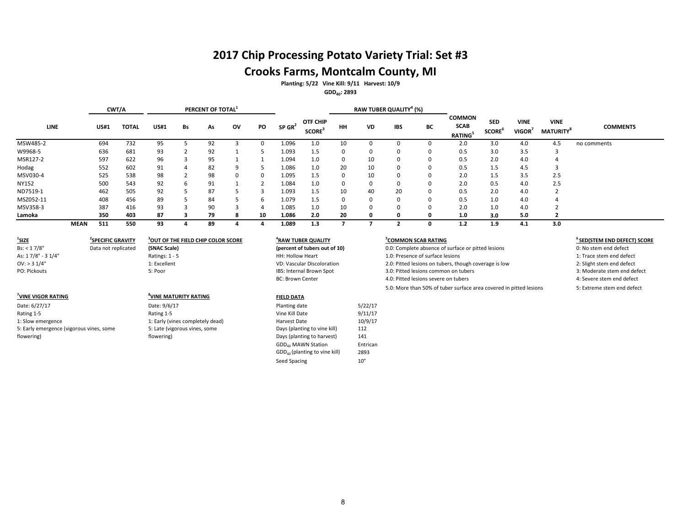# **2017 Chip Processing Potato Variety Trial: Set #3 Crooks Farms, Montcalm County, MI**

**Planting: 5/22 Vine Kill: 9/11 Harvest: 10/9**

**GDD40: 2893**

|              | PERCENT OF TOTAL <sup>1</sup><br>CWT/A |       |             |    |    |    |          |                      |                                | RAW TUBER QUALITY <sup>4</sup> (%) |    |             |          |                                               |                                         |                             |                                  |                 |
|--------------|----------------------------------------|-------|-------------|----|----|----|----------|----------------------|--------------------------------|------------------------------------|----|-------------|----------|-----------------------------------------------|-----------------------------------------|-----------------------------|----------------------------------|-----------------|
| <b>LINE</b>  | <b>US#1</b>                            | TOTAL | <b>US#1</b> | Bs | As | ov | PO       | $SP$ GR <sup>2</sup> | OTF CHIP<br>SCORE <sup>3</sup> | HH                                 | VD | IBS         | ВC       | <b>COMMON</b><br><b>SCAB</b><br><b>RATING</b> | <b>SED</b><br><b>SCORE</b> <sup>°</sup> | <b>VINE</b><br><b>VIGOR</b> | <b>VINE</b><br><b>MATURITY</b> ° | <b>COMMENTS</b> |
| MSW485-2     | 694                                    | 732   | 95          |    | 92 |    |          | 1.096                | 1.0                            |                                    |    |             |          | 2.0                                           | 3.0                                     | 4.0                         | 4.5                              | no comments     |
| W9968-5      | 636                                    | 681   | 93          |    | 92 |    | 5        | 1.093                | 1.5                            | 0                                  |    | 0           | 0        | 0.5                                           | 3.0                                     | 3.5                         |                                  |                 |
| MSR127-2     | 597                                    | 622   | 96          |    | 95 |    |          | 1.094                | 1.0                            | 0                                  | 10 | 0           | $\Omega$ | 0.5                                           | 2.0                                     | 4.0                         |                                  |                 |
| Hodag        | 552                                    | 602   | 91          | 4  | 82 | 9  | ь        | 1.086                | 1.0                            | 20                                 | 10 | 0           | $\Omega$ | 0.5                                           | $1.5\,$                                 | 4.5                         |                                  |                 |
| MSV030-4     | 525                                    | 538   | 98          |    | 98 | 0  | $\Omega$ | 1.095                | 1.5                            | $\Omega$                           | 10 | 0           | $\Omega$ | 2.0                                           | 1.5                                     | 3.5                         | 2.5                              |                 |
| <b>NY152</b> | 500                                    | 543   | 92          | 6  | 91 |    |          | 1.084                | 1.0                            | $\Omega$                           |    | $\mathbf 0$ | $\Omega$ | 2.0                                           | 0.5                                     | 4.0                         | 2.5                              |                 |
| ND7519-1     | 462                                    | 505   | 92          |    | 87 |    |          | 1.093                | 1.5                            | 10                                 | 40 | 20          | $\Omega$ | 0.5                                           | 2.0                                     | 4.0                         |                                  |                 |
| MSZ052-11    | 408                                    | 456   | 89          |    | 84 |    | 6        | 1.079                | 1.5                            | 0                                  |    | 0           | 0        | 0.5                                           | 1.0                                     | 4.0                         |                                  |                 |
| MSV358-3     | 387                                    | 416   | 93          |    | 90 |    | 4        | 1.085                | 1.0                            | 10                                 |    | 0           | $\Omega$ | 2.0                                           | 1.0                                     | 4.0                         |                                  |                 |
| Lamoka       | 350                                    | 403   | 87          |    | 79 |    | 10       | 1.086                | 2.0                            | 20                                 |    |             |          | 1.0                                           | 3.0                                     | 5.0                         |                                  |                 |
| <b>MEAN</b>  | 511                                    | 550   | 93          |    | 89 |    |          | 1.089                | 1.3                            |                                    |    |             | 0        | 1.2                                           | 1.9                                     | 4.1                         | 3.0                              |                 |

| Г |
|---|
|   |
|   |
|   |
|   |

5: Late (vigorous vines, some

flowering)

#### **7 VINE VIGOR RATING <sup>8</sup>**

Date: 6/27/17 Date: 9/6/17 Planting date 5/22/17 Rating 1-5 **Rating 1-5** Rating 1-5 **Rating 1-5** Atting 1-5 **Vine Kill Date** 9/11/17 1: Slow emergence 1: Early (vines completely dead) Harvest Date 10/9/17 5: Early emergence (vigorous vines, some flowering)

#### **SPECIFIC GRAVITY**  $\frac{3}{2}$ **OUT OF THE FIELD CHIP COLOR SCORE**  $\frac{4}{2}$ **RAW TUBER QUALITY RAW TUBER QUALITY** (percent of tubers out of 10)

### **VINE MATURITY RATING FIELD DATA**

Days (planting to vine kill) 112 Days (planting to harvest) 141 GDD<sub>40</sub> MAWN Station **Entrican** GDD40 (planting to vine kill) 2893 Seed Spacing 10"

**COMMON SCAB RATING**<br> **COMMON SCAB RATING**<br> **6 SED(STEM END DEFECT) SCORE**<br> **6 SED(STEM END DEFECT) SCORE**<br> **6 SED(STEM END DEFECT)** SCORE Data not replicated (SNAC Scale) (30 000 0.0: Complete absence of surface or pitted lesions 0.0: Derrent of tubers out of 10 0.0: Complete absence of surface or pitted lesions As: 1 7/8" - 3 1/4" CHE RATINGS: 1 - 5 CHE: HOLLOW HEART HEART HEART HEART HEART HEART HEART HEART HEART HEART HEART HEART HEART HEART HEART HEART HEART HEART HEART HEART HEART HEART HEART HEART HEART HEART HEART HEART HEA OV: Vascular Discoloration 2.0: Pitted lesions on tubers, though coverage is low 2: Slight stem end defect 2: Slight stem end defect 1.<br>2. Poor 3. Moderate stem end defect 1. BS: Internal Brown Spot 3. 2. 2. Pitted lesions PO: Internal Brown Spot **1988** and the common on tubers 3.0: Pitted lesions common on tubers 3: Moderate stem end defect<br>BC: Brown Center **3.0: Pitted lesions severe on tubers** 3: Providence 3: Bevere stem end defect 4.0: Pitted lesions severe on tubers 5.0: More than 50% of tuber surface area covered in pitted lesions 5: Extreme stem end defect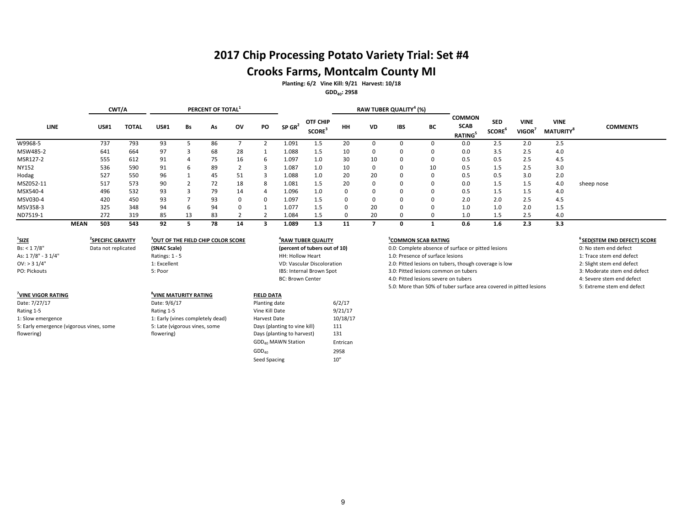# **2017 Chip Processing Potato Variety Trial: Set #4 Crooks Farms, Montcalm County MI**

**Planting: 6/2 Vine Kill: 9/21 Harvest: 10/18**

**GDD40: 2958**

|              | CWT/A       | PERCENT OF TOTAL <sup>1</sup> |             |    |    |          |    |                      |                                      |           | RAW TUBER QUALITY <sup>4</sup> (%) |             |          |                                               |                            |                       |                                |                 |
|--------------|-------------|-------------------------------|-------------|----|----|----------|----|----------------------|--------------------------------------|-----------|------------------------------------|-------------|----------|-----------------------------------------------|----------------------------|-----------------------|--------------------------------|-----------------|
| <b>LINE</b>  | <b>US#1</b> | <b>TOTAL</b>                  | <b>US#1</b> | Bs | As | ov       | PO | $SP$ GR <sup>2</sup> | OTF CHIP<br><b>SCORE<sup>3</sup></b> | <b>HH</b> | VD                                 | <b>IBS</b>  | BС       | <b>COMMON</b><br><b>SCAB</b><br><b>RATING</b> | <b>SED</b><br><b>SCORE</b> | <b>VINE</b><br>VIGOR' | <b>VINE</b><br><b>MATURITY</b> | <b>COMMENTS</b> |
| W9968-5      | 737         | 793                           | 93          |    | 86 |          |    | 1.091                | 1.5                                  | 20        |                                    |             |          | 0.0                                           | 2.5                        | 2.0                   | 2.5                            |                 |
| MSW485-2     | 641         | 664                           | 97          | 3  | 68 | 28       |    | 1.088                | 1.5                                  | 10        |                                    | $\Omega$    | 0        | 0.0                                           | 3.5                        | 2.5                   | 4.0                            |                 |
| MSR127-2     | 555         | 612                           | 91          | 4  | 75 | 16       | 6  | 1.097                | 1.0                                  | 30        | 10                                 | $\Omega$    | n        | 0.5                                           | 0.5                        | 2.5                   | 4.5                            |                 |
| <b>NY152</b> | 536         | 590                           | 91          | -6 | 89 |          |    | 1.087                | 1.0                                  | 10        |                                    | $\Omega$    | 10       | 0.5                                           | 1.5                        | 2.5                   | 3.0                            |                 |
| Hodag        | 527         | 550                           | 96          |    | 45 | 51       |    | 1.088                | 1.0                                  | 20        | 20                                 | $\mathbf 0$ | $\Omega$ | 0.5                                           | 0.5                        | 3.0                   | 2.0                            |                 |
| MSZ052-11    | 517         | 573                           | 90          |    | 72 | 18       | 8  | 1.081                | 1.5                                  | 20        |                                    | $\mathbf 0$ | 0        | 0.0                                           | 1.5                        | 1.5                   | 4.0                            | sheep nose      |
| MSX540-4     | 496         | 532                           | 93          |    | 79 | 14       | 4  | 1.096                | 1.0                                  | 0         |                                    | $\mathbf 0$ | $\Omega$ | 0.5                                           | 1.5                        | 1.5                   | 4.0                            |                 |
| MSV030-4     | 420         | 450                           | 93          |    | 93 | 0        | 0  | 1.097                | 1.5                                  | 0         |                                    | $\Omega$    | 0        | 2.0                                           | 2.0                        | 2.5                   | 4.5                            |                 |
| MSV358-3     | 325         | 348                           | 94          | 6  | 94 | $\Omega$ |    | 1.077                | 1.5                                  | $\Omega$  | 20                                 | $\Omega$    | $\Omega$ | 1.0                                           | 1.0                        | 2.0                   | 1.5                            |                 |
| ND7519-1     | 272         | 319                           | 85          | 13 | 83 |          |    | 1.084                | 1.5                                  |           | 20                                 |             |          | 1.0                                           | 1.5                        | 2.5                   | 4.0                            |                 |
| <b>MEAN</b>  | 503         | 543                           | 92          |    | 78 | 14       |    | 1.089                | 1.3                                  | 11        |                                    |             |          | 0.6                                           | $1.6\phantom{0}$           | 2.3                   | 3.3                            |                 |

| $\frac{1}{2}$ SIZE                       | <b>SPECIFIC GRAVITY</b> | <b>OUT OF THE FIELD CHIP COLOR SCORE</b> | <b>"RAW TUBER QUALITY</b>      |          | <b>COMMON SCAB RATING</b>                                          | <sup>b</sup> SED(STEM END DEFECT) SCO |
|------------------------------------------|-------------------------|------------------------------------------|--------------------------------|----------|--------------------------------------------------------------------|---------------------------------------|
| Bs: < 17/8"                              | Data not replicated     | (SNAC Scale)                             | (percent of tubers out of 10)  |          | 0.0: Complete absence of surface or pitted lesions                 | 0: No stem end defect                 |
| As: 17/8" - 3 1/4"                       |                         | Ratings: $1 - 5$                         | HH: Hollow Heart               |          | 1.0: Presence of surface lesions                                   | 1: Trace stem end defect              |
| $OV:$ > 3 1/4"                           |                         | 1: Excellent                             | VD: Vascular Discoloration     |          | 2.0: Pitted lesions on tubers, though coverage is low              | 2: Slight stem end defect             |
| PO: Pickouts                             |                         | 5: Poor                                  | IBS: Internal Brown Spot       |          | 3.0: Pitted lesions common on tubers                               | 3: Moderate stem end defect           |
|                                          |                         |                                          | <b>BC: Brown Center</b>        |          | 4.0: Pitted lesions severe on tubers                               | 4: Severe stem end defect             |
|                                          |                         |                                          |                                |          | 5.0: More than 50% of tuber surface area covered in pitted lesions | 5: Extreme stem end defect            |
| VINE VIGOR RATING                        |                         | UINE MATURITY RATING                     | <b>FIELD DATA</b>              |          |                                                                    |                                       |
| Date: 7/27/17                            |                         | Date: 9/6/17                             | Planting date                  | 6/2/17   |                                                                    |                                       |
| Rating 1-5                               |                         | Rating 1-5                               | Vine Kill Date                 | 9/21/17  |                                                                    |                                       |
| 1: Slow emergence                        |                         | 1: Early (vines completely dead)         | Harvest Date                   | 10/18/17 |                                                                    |                                       |
| 5: Early emergence (vigorous vines, some |                         | 5: Late (vigorous vines, some            | Days (planting to vine kill)   | 111      |                                                                    |                                       |
| flowering)                               |                         | flowering)                               | Days (planting to harvest)     | 131      |                                                                    |                                       |
|                                          |                         |                                          | GDD <sub>40</sub> MAWN Station | Entrican |                                                                    |                                       |

| <b>COMMON SCAB RATING</b>                                          | <sup>6</sup> SED(STEM END DEFECT) SCORE |
|--------------------------------------------------------------------|-----------------------------------------|
| 0.0: Complete absence of surface or pitted lesions                 | 0: No stem end defect                   |
| 1.0: Presence of surface lesions                                   | 1: Trace stem end defect                |
| 2.0: Pitted lesions on tubers, though coverage is low              | 2: Slight stem end defect               |
| 3.0: Pitted lesions common on tubers                               | 3: Moderate stem end defect             |
| 4.0: Pitted lesions severe on tubers                               | 4: Severe stem end defect               |
| 5.0: More than 50% of tuber surface area covered in pitted lesions | 5: Extreme stem end defect              |
|                                                                    |                                         |

- 
- 
- 
- 4: Severe stem end defect<br>S: Extreme stem end defect
	- 5: Extreme stem end defect

 $GDD_{40}$  2958<br>Seed Spacing 10"

Seed Spacing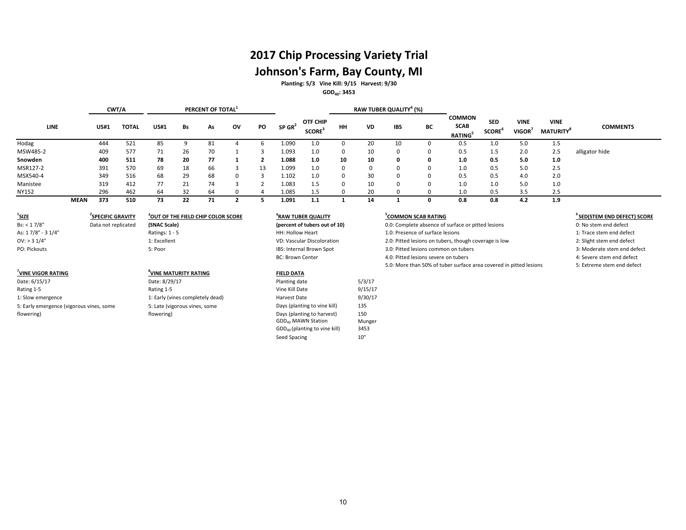# **2017 Chip Processing Variety Trial Johnson's Farm, Bay County, MI**

**Planting: 5/3 Vine Kill: 9/15 Harvest: 9/30**

**GDD40: 3453**

|                                          | PERCENT OF TOTAL <sup>1</sup><br>CWT/A |              |                                                |    |    |                |                |                         | RAW TUBER QUALITY <sup>4</sup> (%)                           |              |               |              |                                      |                                                                    |                                  |                                   |                                             |                                         |
|------------------------------------------|----------------------------------------|--------------|------------------------------------------------|----|----|----------------|----------------|-------------------------|--------------------------------------------------------------|--------------|---------------|--------------|--------------------------------------|--------------------------------------------------------------------|----------------------------------|-----------------------------------|---------------------------------------------|-----------------------------------------|
| <b>LINE</b>                              | <b>US#1</b>                            | <b>TOTAL</b> | <b>US#1</b>                                    | Bs | As | ov             | PO             | $SP$ GR <sup>2</sup>    | OTF CHIP<br>SCORE <sup>3</sup>                               | HH           | <b>VD</b>     | <b>IBS</b>   | BC                                   | <b>COMMON</b><br><b>SCAB</b><br><b>RATING</b> <sup>5</sup>         | <b>SED</b><br>SCORE <sup>6</sup> | <b>VINE</b><br>VIGOR <sup>7</sup> | <b>VINE</b><br><b>MATURITY</b> <sup>8</sup> | <b>COMMENTS</b>                         |
| Hodag                                    | 444                                    | 521          | 85                                             | 9  | 81 | $\overline{4}$ | 6              | 1.090                   | 1.0                                                          | $\mathbf{0}$ | 20            | 10           | $\Omega$                             | 0.5                                                                | 1.0                              | 5.0                               | 1.5                                         |                                         |
| MSW485-2                                 | 409                                    | 577          | 71                                             | 26 | 70 |                | 3              | 1.093                   | 1.0                                                          | $\Omega$     | 10            | 0            |                                      | 0.5                                                                | 1.5                              | 2.0                               | 2.5                                         | alligator hide                          |
| Snowden                                  | 400                                    | 511          | 78                                             | 20 | 77 | 1              | $\overline{2}$ | 1.088                   | 1.0                                                          | 10           | 10            | 0            | $\Omega$                             | 1.0                                                                | 0.5                              | 5.0                               | 1.0                                         |                                         |
| MSR127-2                                 | 391                                    | 570          | 69                                             | 18 | 66 | 3              | 13             | 1.099                   | 1.0                                                          | $\Omega$     | $\Omega$      | 0            | $\Omega$                             | 1.0                                                                | 0.5                              | 5.0                               | 2.5                                         |                                         |
| MSX540-4                                 | 349                                    | 516          | 68                                             | 29 | 68 | $\Omega$       | 3              | 1.102                   | 1.0                                                          | $\Omega$     | 30            | 0            | $\Omega$                             | 0.5                                                                | 0.5                              | 4.0                               | 2.0                                         |                                         |
| Manistee                                 | 319                                    | 412          | 77                                             | 21 | 74 | $\mathbf{R}$   | $\mathcal{P}$  | 1.083                   | 1.5                                                          | $\Omega$     | 10            | $\Omega$     | $\Omega$                             | 1.0                                                                | 1.0                              | 5.0                               | 1.0                                         |                                         |
| <b>NY152</b>                             | 296                                    | 462          | 64                                             | 32 | 64 | $\Omega$       | $\overline{a}$ | 1.085                   | 1.5                                                          | $\Omega$     | 20            | 0            | $\Omega$                             | 1.0                                                                | 0.5                              | 3.5                               | 2.5                                         |                                         |
| <b>MEAN</b>                              | 373                                    | 510          | 73                                             | 22 | 71 | $\overline{2}$ | 5              | 1.091                   | 1.1                                                          | $\mathbf{1}$ | 14            | $\mathbf{1}$ | $\Omega$                             | 0.8                                                                | 0.8                              | 4.2                               | 1.9                                         |                                         |
| $\frac{1}{2}$ SIZE                       | <sup>2</sup> SPECIFIC GRAVITY          |              | <sup>3</sup> OUT OF THE FIELD CHIP COLOR SCORE |    |    |                |                |                         | <sup>4</sup> RAW TUBER QUALITY                               |              |               |              | <sup>5</sup> COMMON SCAB RATING      |                                                                    |                                  |                                   |                                             | <sup>6</sup> SED(STEM END DEFECT) SCORE |
| Bs: < 17/8"                              | Data not replicated                    |              | (SNAC Scale)                                   |    |    |                |                |                         | (percent of tubers out of 10)                                |              |               |              |                                      | 0.0: Complete absence of surface or pitted lesions                 |                                  |                                   |                                             | 0: No stem end defect                   |
| As: 17/8" - 31/4"                        |                                        |              | Ratings: 1 - 5                                 |    |    |                |                | HH: Hollow Heart        |                                                              |              |               |              | 1.0: Presence of surface lesions     |                                                                    |                                  |                                   |                                             | 1: Trace stem end defect                |
| OV: > 31/4"                              |                                        |              | 1: Excellent                                   |    |    |                |                |                         | <b>VD: Vascular Discoloration</b>                            |              |               |              |                                      | 2.0: Pitted lesions on tubers, though coverage is low              |                                  |                                   |                                             | 2: Slight stem end defect               |
| PO: Pickouts                             |                                        |              | 5: Poor                                        |    |    |                |                |                         | IBS: Internal Brown Spot                                     |              |               |              | 3.0: Pitted lesions common on tubers |                                                                    |                                  |                                   |                                             | 3: Moderate stem end defect             |
|                                          |                                        |              |                                                |    |    |                |                | <b>BC: Brown Center</b> |                                                              |              |               |              | 4.0: Pitted lesions severe on tubers |                                                                    |                                  |                                   |                                             | 4: Severe stem end defect               |
|                                          |                                        |              |                                                |    |    |                |                |                         |                                                              |              |               |              |                                      | 5.0: More than 50% of tuber surface area covered in pitted lesions |                                  |                                   |                                             | 5: Extreme stem end defect              |
| <sup>7</sup> VINE VIGOR RATING           |                                        |              | <sup>8</sup> VINE MATURITY RATING              |    |    |                |                | <b>FIELD DATA</b>       |                                                              |              |               |              |                                      |                                                                    |                                  |                                   |                                             |                                         |
| Date: 6/15/17                            |                                        |              | Date: 8/29/17                                  |    |    |                |                | Planting date           |                                                              |              | 5/3/17        |              |                                      |                                                                    |                                  |                                   |                                             |                                         |
| Rating 1-5                               |                                        |              | Rating 1-5                                     |    |    |                |                | Vine Kill Date          |                                                              |              | 9/15/17       |              |                                      |                                                                    |                                  |                                   |                                             |                                         |
| 1: Slow emergence                        |                                        |              | 1: Early (vines completely dead)               |    |    |                |                | Harvest Date            |                                                              |              | 9/30/17       |              |                                      |                                                                    |                                  |                                   |                                             |                                         |
| 5: Early emergence (vigorous vines, some |                                        |              | 5: Late (vigorous vines, some                  |    |    |                |                |                         | Days (planting to vine kill)                                 |              | 135           |              |                                      |                                                                    |                                  |                                   |                                             |                                         |
| flowering)                               |                                        |              | flowering)                                     |    |    |                |                |                         | Days (planting to harvest)<br>GDD <sub>40</sub> MAWN Station |              | 150<br>Munger |              |                                      |                                                                    |                                  |                                   |                                             |                                         |
|                                          |                                        |              |                                                |    |    |                |                |                         | GDD <sub>40</sub> (planting to vine kill)                    |              | 3453          |              |                                      |                                                                    |                                  |                                   |                                             |                                         |
|                                          |                                        |              |                                                |    |    |                |                | Seed Spacing            |                                                              |              | 10"           |              |                                      |                                                                    |                                  |                                   |                                             |                                         |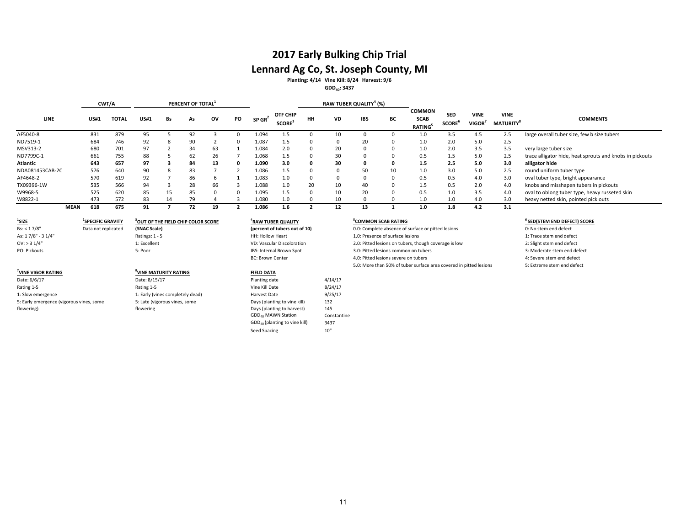# **2017 Early Bulking Chip Trial Lennard Ag Co, St. Joseph County, MI**

**Planting: 4/14 Vine Kill: 8/24 Harvest: 9/6**

## **GDD40: 3437**

|                 |             | CWT/A<br>PERCENT OF TOTAL |              |             |    |    |    |    |                      |                                      | RAW TUBER QUALITY <sup>4</sup> (%) |    |     |    |                                               |                                         |                       |                                            |                                                          |
|-----------------|-------------|---------------------------|--------------|-------------|----|----|----|----|----------------------|--------------------------------------|------------------------------------|----|-----|----|-----------------------------------------------|-----------------------------------------|-----------------------|--------------------------------------------|----------------------------------------------------------|
| LINE            |             | US#1                      | <b>TOTAI</b> | <b>US#1</b> | Bs | As | ov | PO | $SP$ GR <sup>2</sup> | OTF CHIP<br><b>SCORE<sup>3</sup></b> | HH                                 | VD | IBS | BС | <b>COMMON</b><br><b>SCAB</b><br><b>RATING</b> | <b>SED</b><br><b>SCORE</b> <sup>b</sup> | <b>VINE</b><br>VIGOR' | <b>VINE</b><br><b>MATURITY<sup>8</sup></b> | <b>COMMENTS</b>                                          |
| AF5040-8        |             | 831                       | 879          |             |    | 92 |    |    | .094                 |                                      |                                    | 10 |     |    | 1.0                                           | 3.5                                     | 4.5                   | 2.5                                        | large overall tuber size, few b size tubers              |
| ND7519-1        |             | 684                       | 746          | 92          |    | 90 |    |    | 1.087                | כ.ד                                  |                                    |    | 20  |    | 1.0                                           | 2.0                                     | 5.0                   | 2.5                                        |                                                          |
| MSV313-2        |             | 680                       | 701          | 97          |    | 34 | 63 |    | 1.084                | 2.0                                  |                                    | 20 |     |    | 1.0                                           | 2.0                                     | 3.5                   | 3.5                                        | very large tuber size                                    |
| ND7799C-1       |             | 661                       | 755          | 88          |    | 62 | 26 |    | 1.068                | כ.ד                                  |                                    | 30 |     |    | 0.5                                           | 1.5                                     | 5.0                   | 2.5                                        | trace alligator hide, heat sprouts and knobs in pickouts |
| Atlantic        |             | 643                       | 657          | 97          |    | 84 | 13 |    | 1.090                | 3.0                                  |                                    | 30 |     |    | 1.5                                           | 2.5                                     | 5.0                   | 3.0                                        | alligator hide                                           |
| NDA081453CAB-2C |             | 576                       | 640          | 90          |    | 83 |    |    | 1.086                | כ.ד                                  |                                    |    | 50  | 10 | 1.0                                           | 3.0                                     | 5.0                   | 2.5                                        | round uniform tuber type                                 |
| AF4648-2        |             | 570                       | 619          | 92          |    | 86 |    |    | 1.083                | 1.0                                  |                                    |    |     |    | 0.5                                           | 0.5                                     | 4.0                   | 3.0                                        | oval tuber type, bright appearance                       |
| TX09396-1W      |             | 535                       | 566          | 94          |    | 28 | 66 |    | 1.088                | 1.0                                  | 20                                 | 10 | 40  |    | 1.5                                           | 0.5                                     | 2.0                   | 4.0                                        | knobs and misshapen tubers in pickouts                   |
| W9968-5         |             | 525                       | 620          | 85          | 15 | 85 |    |    | 1.095                |                                      |                                    | 10 | 20  |    | 0.5                                           | 1.0                                     | 3.5                   | 4.0                                        | oval to oblong tuber type, heavy russeted skin           |
| W8822-1         |             | 473                       | 572          | 83          | 14 | 79 |    |    | 1.080                | 1.0                                  |                                    | 10 |     |    | 1.0                                           | 1.0                                     | 4.0                   | 3.0                                        | heavy netted skin, pointed pick outs                     |
|                 | <b>MEAN</b> | 618                       | 675          | 91          |    | 72 | 19 |    | 1.086                | 1.6                                  |                                    | 12 | 13  |    | 1.0                                           | 1.8                                     | 4.2                   | 3.1                                        |                                                          |

Constantine 3437

| $\frac{1}{2}$ SIZE | 2 |
|--------------------|---|
| Bs: < 17/8"        |   |
| As: 17/8" - 31/4"  |   |
| $OV:$ > 3 $1/4"$   |   |

5: Early emergence (vigorous vines, some

flowering)

| <b>SPECIFIC GRAVITY</b> | OUT OF THE FIELD CHIP COLOR SCORE | <sup>4</sup> RAW TUBER QUALITY    |  |
|-------------------------|-----------------------------------|-----------------------------------|--|
| ata not replicated      | (SNAC Scale)                      | (percent of tubers out of 10)     |  |
|                         | Ratings: $1 - 5$                  | HH: Hollow Heart                  |  |
|                         | 1: Excellent                      | <b>VD: Vascular Discoloration</b> |  |
|                         | 5: Poor                           | IBS: Internal Brown Spot          |  |
|                         |                                   |                                   |  |

#### **7 VINE VIGOR RATING <sup>8</sup> EXAMPLE MATURITY RATING FIELD DATA**<br>
Date: 8/15/17<br> **Planting date** Date: 6/6/17 Date: 8/15/17 Planting date 4/14/17 Rating 1-5 **Rating 1-5** Rating 1-5 **Rating 1-5 Rating 1-5 Vine Kill Date 8/24/17** 1: Slow emergence 1: Early (vines completely dead) Harvest Date 1: Slow emergence 1/25/17<br>1: Early emergence (vigorous vines. some 5: Late (vigorous vines. some 132) Days (planting to vine kill) 132 5: Late (vigorous vines, some flowering

# **(percent of tubers out of 10)**

| Planting date                             | 4/1  |
|-------------------------------------------|------|
| Vine Kill Date                            | 8/2  |
| Harvest Date                              | 9/2! |
| Days (planting to vine kill)              | 132  |
| Days (planting to harvest)                | 145  |
| GDD <sub>40</sub> MAWN Station            | Con  |
| GDD <sub>40</sub> (planting to vine kill) | 343  |
| Seed Spacing                              | 10"  |

**COMMON SCAB RATING**<br> **COMMON SCAB RATING**<br> **6. Complete absence of surface or pitted lesions**<br> **6. No stem end defect** Data not replicated (SNAC Scale) (SNAC Scale) (SNAC Scale) (Dercent of tubers out of 10 0.0: Complete absence of surface or pitted lesions 0: No stem end defect (SNAC Scale) (30: No stem end defect htt: Hollow Heart Hi: Ho As: HH: Hollow Heart 1.0: Presence of surface lesions 1.0: Presence of surface lesions 1.9: Trace stem end defect<br>1.0: Prited lesions on tubers, though coverage is low 1.9: Sight stem end defect 1.0: Yascular Discoloration VD: Vascular Discoloration 2.0: Pitted lesions on tubers, though coverage is low PO: Pickouts S: Poor 5: Poor Section of the Section of the Section of the Section of the Section of the Section Spot<br>BC: Brown Center 3.0: Pitted lesions severe on tubers 3: Moderate 3: Noderate stem end defect<br>4: Severe s 8.0: Pitted lesions severe on tubers<br>BC: More than 50% of tuber surface area covered in pitted lesions 5: Extreme stem end defect 5.0: More than 50% of tuber surface area covered in pitted lesions

- -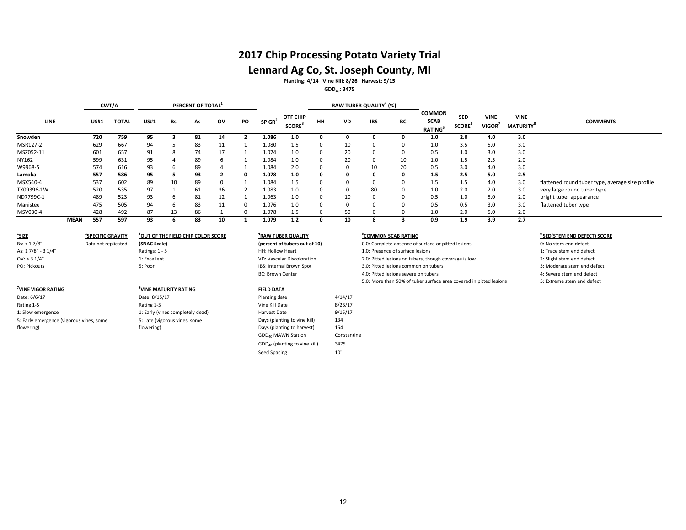## **2017 Chip Processing Potato Variety Trial**

## **Lennard Ag Co, St. Joseph County, MI**

**Planting: 4/14 Vine Kill: 8/26 Harvest: 9/15**

#### **GDD40: 3475**

|            |             |             | CWT/A        |             |    | PERCENT OF TOTAL <sup>1</sup> |    |    |                      |                                |    |    | RAW TUBER QUALITY <sup>4</sup> (%) |    |                                               |                                         |                                   |                                |                                                  |
|------------|-------------|-------------|--------------|-------------|----|-------------------------------|----|----|----------------------|--------------------------------|----|----|------------------------------------|----|-----------------------------------------------|-----------------------------------------|-----------------------------------|--------------------------------|--------------------------------------------------|
| LINE       |             | <b>US#1</b> | <b>TOTAL</b> | <b>US#1</b> | Bs | As                            | ov | PO | $SP$ GR <sup>2</sup> | OTF CHIP<br>SCORE <sup>3</sup> | HH | VD | <b>IBS</b>                         | BС | <b>COMMON</b><br><b>SCAB</b><br><b>RATING</b> | <b>SED</b><br><b>SCORE</b> <sup>b</sup> | <b>VINE</b><br>VIGOR <sup>/</sup> | <b>VINE</b><br><b>MATURITY</b> | <b>COMMENTS</b>                                  |
| Snowden    |             | 720         | 759          | 95          |    | 81                            | 14 |    | 1.086                | 1.0                            |    |    |                                    |    | 1.0                                           | 2.0                                     | 4.0                               | 3.0                            |                                                  |
| MSR127-2   |             | 629         | 667          | 94          |    | 83                            | 11 |    | 1.080                | 1.5                            |    | 10 | $\Omega$                           |    | 1.0                                           | 3.5                                     | 5.0                               | 3.0                            |                                                  |
| MSZ052-11  |             | 601         | 657          | 91          | 8  | 74                            | 17 |    | 1.074                | 1.0                            |    | 20 | $\Omega$                           |    | 0.5                                           | 1.0                                     | 3.0                               | 3.0                            |                                                  |
| NY162      |             | 599         | 631          | 95          |    | 89                            | h  |    | 1.084                | 1.0                            |    | 20 | $\Omega$                           | 10 | 1.0                                           | 1.5                                     | 2.5                               | 2.0                            |                                                  |
| W9968-5    |             | 574         | 616          | 93          | b  | 89                            |    |    | 1.084                | 2.0                            |    | 0  | 10                                 | 20 | 0.5                                           | 3.0                                     | 4.0                               | 3.0                            |                                                  |
| Lamoka     |             | 557         | 586          | 95          |    | 93                            |    |    | 1.078                | 1.0                            | O  |    | 0                                  |    | 1.5                                           | 2.5                                     | 5.0                               | 2.5                            |                                                  |
| MSX540-4   |             | 537         | 602          | 89          | 10 | 89                            |    |    | 1.084                | 1.5                            |    |    | $\Omega$                           |    | 1.5                                           | 1.5                                     | 4.0                               | 3.0                            | flattened round tuber type, average size profile |
| TX09396-1W |             | 520         | 535          | 97          |    | 61                            | 36 |    | 1.083                | 1.0                            |    | 0  | 80                                 |    | 1.0                                           | 2.0                                     | 2.0                               | 3.0                            | very large round tuber type                      |
| ND7799C-1  |             | 489         | 523          | 93          | h  | 81                            | 12 |    | 1.063                | 1.0                            | O  | 10 | $\Omega$                           |    | 0.5                                           | 1.0                                     | 5.0                               | 2.0                            | bright tuber appearance                          |
| Manistee   |             | 475         | 505          | 94          | h  | 83                            | 11 |    | 1.076                | 1.0                            |    |    | $\Omega$                           |    | 0.5                                           | 0.5                                     | 3.0                               | 3.0                            | flattened tuber type                             |
| MSV030-4   |             | 428         | 492          | 87          | 13 | 86                            |    |    | 1.078                | 1.5                            |    | 50 |                                    |    | 1.0                                           | 2.0                                     | 5.0                               | 2.0                            |                                                  |
|            | <b>MEAN</b> | 557         | 597          | 93          |    | 83                            | 10 |    | 1.079                | 1.2                            |    | 10 |                                    |    | 0.9                                           | 1.9                                     | 3.9                               | 2.7                            |                                                  |

| $1$ SIZE                                 | <b>SPECIFIC GRAVITY</b> | OUT OF THE FIELD CHIP COLOR SCORE | <sup>4</sup> RAW TUBER QUALITY |         | <b>COMMON SCAB RATING</b>                                          | <sup>6</sup> SED(STEM END DEFECT |
|------------------------------------------|-------------------------|-----------------------------------|--------------------------------|---------|--------------------------------------------------------------------|----------------------------------|
| Bs: < 17/8"                              | Data not replicated     | (SNAC Scale)                      | (percent of tubers out of 10)  |         | 0.0: Complete absence of surface or pitted lesions                 | 0: No stem end defect            |
| As: 17/8" - 3 1/4"                       |                         | Ratings: $1 - 5$                  | HH: Hollow Heart               |         | 1.0: Presence of surface lesions                                   | 1: Trace stem end defect         |
| $OV:$ > 3 $1/4"$                         |                         | 1: Excellent                      | VD: Vascular Discoloration     |         | 2.0: Pitted lesions on tubers, though coverage is low              | 2: Slight stem end defect        |
| PO: Pickouts                             |                         | 5: Poor                           | IBS: Internal Brown Spot       |         | 3.0: Pitted lesions common on tubers                               | 3: Moderate stem end de          |
|                                          |                         |                                   | <b>BC: Brown Center</b>        |         | 4.0: Pitted lesions severe on tubers                               | 4: Severe stem end defer         |
|                                          |                         |                                   |                                |         | 5.0: More than 50% of tuber surface area covered in pitted lesions | 5: Extreme stem end def          |
| VINE VIGOR RATING                        |                         | <sup>*</sup> VINE MATURITY RATING | <b>FIELD DATA</b>              |         |                                                                    |                                  |
| Date: 6/6/17                             |                         | Date: 8/15/17                     | Planting date                  | 4/14/17 |                                                                    |                                  |
| Rating 1-5                               |                         | Rating 1-5                        | Vine Kill Date                 | 8/26/17 |                                                                    |                                  |
| 1: Slow emergence                        |                         | 1: Early (vines completely dead)  | Harvest Date                   | 9/15/17 |                                                                    |                                  |
| 5: Early emergence (vigorous vines, some |                         | 5: Late (vigorous vines, some     | Days (planting to vine kill)   | 134     |                                                                    |                                  |
| flowering)                               |                         | flowering)                        | Days (planting to harvest)     | 154     |                                                                    |                                  |
|                                          |                         |                                   |                                |         |                                                                    |                                  |

| (percent of tubers out of 10)             |             |
|-------------------------------------------|-------------|
| HH: Hollow Heart                          |             |
| <b>VD: Vascular Discoloration</b>         |             |
| IBS: Internal Brown Spot                  |             |
| <b>BC: Brown Center</b>                   |             |
|                                           |             |
| <b>FIELD DATA</b>                         |             |
| Planting date                             | 4/14/17     |
| Vine Kill Date                            | 8/26/17     |
| Harvest Date                              | 9/15/17     |
| Days (planting to vine kill)              | 134         |
| Days (planting to harvest)                | 154         |
| GDD <sub>40</sub> MAWN Station            | Constantine |
| GDD <sub>40</sub> (planting to vine kill) | 3475        |

Seed Spacing 10"

### **EXECUTION SCAB RATING 6 COMMON SCAB RATING**

- 
- 
- 
- 
-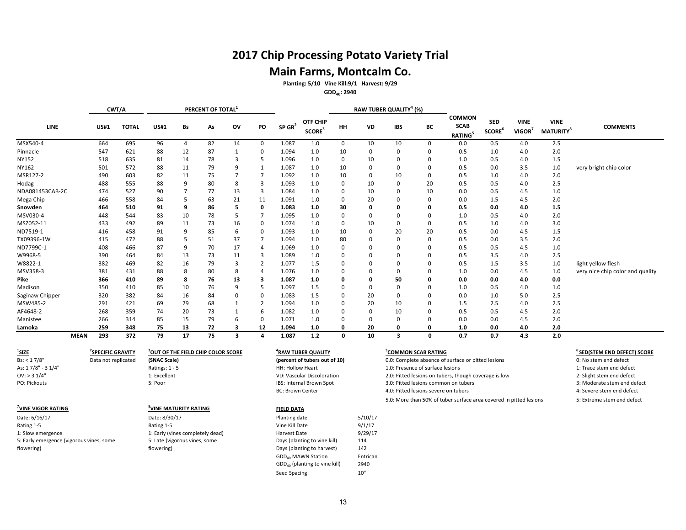# **2017 Chip Processing Potato Variety Trial Main Farms, Montcalm Co.**

**Planting: 5/10 Vine Kill:9/1 Harvest: 9/29 GDD40: 2940**

| GDD <sub>40</sub> : 2940 |
|--------------------------|
|--------------------------|

|                                          |             | CWT/A                         |              |                |                                   | PERCENT OF TOTAL <sup>3</sup>                  |                         |                |                         |                                             |              |          | RAW TUBER QUALITY <sup>4</sup> (%) |                                                    |                                                                    |                                  |                                   |                                             |                                         |
|------------------------------------------|-------------|-------------------------------|--------------|----------------|-----------------------------------|------------------------------------------------|-------------------------|----------------|-------------------------|---------------------------------------------|--------------|----------|------------------------------------|----------------------------------------------------|--------------------------------------------------------------------|----------------------------------|-----------------------------------|---------------------------------------------|-----------------------------------------|
| <b>LINE</b>                              |             | <b>US#1</b>                   | <b>TOTAL</b> | <b>US#1</b>    | Bs                                | As                                             | OV                      | PO             | $SP$ GR <sup>2</sup>    | OTF CHIP<br>$\ensuremath{\mathsf{SCORE}}^3$ | HH           | VD       | <b>IBS</b>                         | BС                                                 | <b>COMMON</b><br><b>SCAB</b><br>RATING <sup>5</sup>                | <b>SED</b><br>SCORE <sup>6</sup> | <b>VINE</b><br>VIGOR <sup>7</sup> | <b>VINE</b><br><b>MATURITY</b> <sup>8</sup> | <b>COMMENTS</b>                         |
| MSX540-4                                 |             | 664                           | 695          | 96             | 4                                 | 82                                             | 14                      | 0              | 1.087                   | 1.0                                         | $\mathbf 0$  | 10       | 10                                 | 0                                                  | 0.0                                                                | 0.5                              | 4.0                               | 2.5                                         |                                         |
| Pinnacle                                 |             | 547                           | 621          | 88             | 12                                | 87                                             | $\mathbf{1}$            | $\mathbf 0$    | 1.094                   | 1.0                                         | 10           | 0        | $\mathbf 0$                        | 0                                                  | 0.5                                                                | 1.0                              | 4.0                               | 2.0                                         |                                         |
| <b>NY152</b>                             |             | 518                           | 635          | 81             | 14                                | 78                                             | 3                       | 5              | 1.096                   | 1.0                                         | $\mathbf 0$  | 10       | $\mathbf 0$                        | $\Omega$                                           | 1.0                                                                | 0.5                              | 4.0                               | 1.5                                         |                                         |
| NY162                                    |             | 501                           | 572          | 88             | 11                                | 79                                             | 9                       | $\mathbf{1}$   | 1.087                   | 1.0                                         | 10           | 0        | $\mathbf 0$                        | 0                                                  | 0.5                                                                | 0.0                              | 3.5                               | 1.0                                         | very bright chip color                  |
| MSR127-2                                 |             | 490                           | 603          | 82             | 11                                | 75                                             | $\overline{7}$          | $\overline{7}$ | 1.092                   | 1.0                                         | 10           | 0        | 10                                 | 0                                                  | 0.5                                                                | 1.0                              | 4.0                               | 2.0                                         |                                         |
| Hodag                                    |             | 488                           | 555          | 88             | 9                                 | 80                                             | 8                       | 3              | 1.093                   | 1.0                                         | $\mathbf 0$  | 10       | $\mathbf 0$                        | 20                                                 | 0.5                                                                | 0.5                              | 4.0                               | 2.5                                         |                                         |
| NDA081453CAB-2C                          |             | 474                           | 527          | 90             | $\overline{7}$                    | 77                                             | 13                      | 3              | 1.084                   | 1.0                                         | $\mathbf 0$  | 10       | $\mathbf 0$                        | 10                                                 | 0.0                                                                | 0.5                              | 4.5                               | 1.0                                         |                                         |
| Mega Chip                                |             | 466                           | 558          | 84             | 5                                 | 63                                             | 21                      | 11             | 1.091                   | 1.0                                         | $\mathbf 0$  | 20       | $\mathbf 0$                        | 0                                                  | 0.0                                                                | 1.5                              | 4.5                               | 2.0                                         |                                         |
| Snowden                                  |             | 464                           | 510          | 91             | 9                                 | 86                                             | 5                       | $\mathbf 0$    | 1.083                   | 1.0                                         | 30           | 0        | $\mathbf 0$                        | $\mathbf{0}$                                       | 0.5                                                                | 0.0                              | 4.0                               | 1.5                                         |                                         |
| MSV030-4                                 |             | 448                           | 544          | 83             | 10                                | 78                                             | 5                       | $\overline{7}$ | 1.095                   | 1.0                                         | $\Omega$     | $\Omega$ | $\mathbf 0$                        | $\Omega$                                           | 1.0                                                                | 0.5                              | 4.0                               | 2.0                                         |                                         |
| MSZ052-11                                |             | 433                           | 492          | 89             | 11                                | 73                                             | 16                      | $\mathbf 0$    | 1.074                   | 1.0                                         | $\mathbf 0$  | 10       | $\mathbf 0$                        | 0                                                  | 0.5                                                                | 1.0                              | 4.0                               | 3.0                                         |                                         |
| ND7519-1                                 |             | 416                           | 458          | 91             | 9                                 | 85                                             | 6                       | $\mathbf 0$    | 1.093                   | 1.0                                         | 10           | 0        | 20                                 | 20                                                 | 0.5                                                                | 0.0                              | 4.5                               | 1.5                                         |                                         |
| TX09396-1W                               |             | 415                           | 472          | 88             | 5                                 | 51                                             | 37                      | $\overline{7}$ | 1.094                   | 1.0                                         | 80           | $\Omega$ | $\mathbf 0$                        | $\Omega$                                           | 0.5                                                                | 0.0                              | 3.5                               | 2.0                                         |                                         |
| ND7799C-1                                |             | 408                           | 466          | 87             | 9                                 | 70                                             | 17                      | $\overline{4}$ | 1.069                   | 1.0                                         | $\Omega$     | $\Omega$ | $\mathbf 0$                        | $\Omega$                                           | 0.5                                                                | 0.5                              | 4.5                               | 1.0                                         |                                         |
| W9968-5                                  |             | 390                           | 464          | 84             | 13                                | 73                                             | 11                      | 3              | 1.089                   | 1.0                                         | $\mathbf 0$  | $\Omega$ | $\mathbf 0$                        | 0                                                  | 0.5                                                                | 3.5                              | 4.0                               | 2.5                                         |                                         |
| W8822-1                                  |             | 382                           | 469          | 82             | 16                                | 79                                             | 3                       | $\overline{2}$ | 1.077                   | 1.5                                         | $\Omega$     | 0        | $\mathbf 0$                        | $\Omega$                                           | 0.5                                                                | 1.5                              | 3.5                               | 1.0                                         | light yellow flesh                      |
| MSV358-3                                 |             | 381                           | 431          | 88             | 8                                 | 80                                             | 8                       | $\overline{4}$ | 1.076                   | 1.0                                         | $\Omega$     | $\Omega$ | $\mathbf 0$                        | $\Omega$                                           | 1.0                                                                | 0.0                              | 4.5                               | 1.0                                         | very nice chip color and quality        |
| Pike                                     |             | 366                           | 410          | 89             | 8                                 | 76                                             | 13                      | 3              | 1.087                   | 1.0                                         | $\mathbf{0}$ | 0        | 50                                 | $\mathbf{0}$                                       | 0.0                                                                | 0.0                              | 4.0                               | 0.0                                         |                                         |
| Madison                                  |             | 350                           | 410          | 85             | 10                                | 76                                             | 9                       | 5              | 1.097                   | 1.5                                         | $\Omega$     | 0        | $\mathbf 0$                        | $\Omega$                                           | 1.0                                                                | 0.5                              | 4.0                               | 1.0                                         |                                         |
| Saginaw Chipper                          |             | 320                           | 382          | 84             | 16                                | 84                                             | 0                       | $\mathbf 0$    | 1.083                   | 1.5                                         | $\Omega$     | 20       | $\mathbf 0$                        | $\Omega$                                           | 0.0                                                                | 1.0                              | 5.0                               | 2.5                                         |                                         |
| MSW485-2                                 |             | 291                           | 421          | 69             | 29                                | 68                                             | $\mathbf{1}$            | $\overline{2}$ | 1.094                   | 1.0                                         | $\Omega$     | 20       | 10                                 | $\mathbf 0$                                        | 1.5                                                                | 2.5                              | 4.0                               | 2.5                                         |                                         |
| AF4648-2                                 |             | 268                           | 359          | 74             | 20                                | 73                                             | $\mathbf{1}$            | 6              | 1.082                   | 1.0                                         | $\Omega$     | 0        | 10                                 | 0                                                  | 0.5                                                                | 0.5                              | 4.5                               | 2.0                                         |                                         |
| Manistee                                 |             | 266                           | 314          | 85             | 15                                | 79                                             | 6                       | $\mathbf 0$    | 1.071                   | 1.0                                         | $\mathbf 0$  | $\Omega$ | $\mathbf 0$                        | $\Omega$                                           | 0.0                                                                | 0.0                              | 4.5                               | 2.0                                         |                                         |
| Lamoka                                   |             | 259                           | 348          | 75             | 13                                | 72                                             | $\overline{\mathbf{3}}$ | 12             | 1.094                   | 1.0                                         | 0            | 20       | $\mathbf 0$                        | 0                                                  | 1.0                                                                | 0.0                              | 4.0                               | 2.0                                         |                                         |
|                                          | <b>MEAN</b> | 293                           | 372          | 79             | 17                                | 75                                             | 3                       | 4              | 1.087                   | 1.2                                         | 0            | 10       | $\overline{\mathbf{3}}$            | $\mathbf{0}$                                       | 0.7                                                                | 0.7                              | 4.3                               | 2.0                                         |                                         |
| $\frac{1}{2}$ SIZE                       |             | <sup>2</sup> SPECIFIC GRAVITY |              |                |                                   | <sup>3</sup> OUT OF THE FIELD CHIP COLOR SCORE |                         |                |                         | <sup>4</sup> RAW TUBER QUALITY              |              |          |                                    | <sup>5</sup> COMMON SCAB RATING                    |                                                                    |                                  |                                   |                                             | <sup>6</sup> SED(STEM END DEFECT) SCORE |
| Bs: < 17/8"                              |             | Data not replicated           |              | (SNAC Scale)   |                                   |                                                |                         |                |                         | (percent of tubers out of 10)               |              |          |                                    | 0.0: Complete absence of surface or pitted lesions |                                                                    | 0: No stem end defect            |                                   |                                             |                                         |
| As: 17/8" - 3 1/4"                       |             |                               |              | Ratings: 1 - 5 |                                   |                                                |                         |                | HH: Hollow Heart        |                                             |              |          |                                    | 1.0: Presence of surface lesions                   |                                                                    |                                  |                                   |                                             | 1: Trace stem end defect                |
| OV: > 31/4"                              |             |                               |              | 1: Excellent   |                                   |                                                |                         |                |                         | VD: Vascular Discoloration                  |              |          |                                    |                                                    | 2.0: Pitted lesions on tubers, though coverage is low              |                                  |                                   |                                             | 2: Slight stem end defect               |
| PO: Pickouts                             |             |                               |              | 5: Poor        |                                   |                                                |                         |                |                         | IBS: Internal Brown Spot                    |              |          |                                    |                                                    | 3.0: Pitted lesions common on tubers                               |                                  |                                   |                                             | 3: Moderate stem end defect             |
|                                          |             |                               |              |                |                                   |                                                |                         |                | <b>BC: Brown Center</b> |                                             |              |          |                                    | 4.0: Pitted lesions severe on tubers               |                                                                    |                                  |                                   |                                             | 4: Severe stem end defect               |
|                                          |             |                               |              |                |                                   |                                                |                         |                |                         |                                             |              |          |                                    |                                                    | 5.0: More than 50% of tuber surface area covered in pitted lesions |                                  |                                   |                                             | 5: Extreme stem end defect              |
| VINE VIGOR RATING                        |             |                               |              |                | <sup>8</sup> VINE MATURITY RATING |                                                |                         |                | <b>FIELD DATA</b>       |                                             |              |          |                                    |                                                    |                                                                    |                                  |                                   |                                             |                                         |
| Date: 6/16/17                            |             |                               |              | Date: 8/30/17  |                                   |                                                |                         |                | Planting date           |                                             |              | 5/10/17  |                                    |                                                    |                                                                    |                                  |                                   |                                             |                                         |
| Rating 1-5                               |             |                               |              | Rating 1-5     |                                   |                                                |                         |                | Vine Kill Date          |                                             |              | 9/1/17   |                                    |                                                    |                                                                    |                                  |                                   |                                             |                                         |
| 1: Slow emergence                        |             |                               |              |                |                                   | 1: Early (vines completely dead)               |                         |                | Harvest Date            |                                             |              | 9/29/17  |                                    |                                                    |                                                                    |                                  |                                   |                                             |                                         |
| 5: Early emergence (vigorous vines, some |             |                               |              |                | 5: Late (vigorous vines, some     |                                                |                         |                |                         | Days (planting to vine kill)                |              | 114      |                                    |                                                    |                                                                    |                                  |                                   |                                             |                                         |
| flowering)                               |             |                               |              | flowering)     |                                   |                                                |                         |                |                         | Days (planting to harvest)                  |              | 142      |                                    |                                                    |                                                                    |                                  |                                   |                                             |                                         |
|                                          |             |                               |              |                |                                   |                                                |                         |                |                         | GDD <sub>40</sub> MAWN Station              |              | Entrican |                                    |                                                    |                                                                    |                                  |                                   |                                             |                                         |
|                                          |             |                               |              |                |                                   |                                                |                         |                |                         | GDD <sub>40</sub> (planting to vine kill)   |              | 2940     |                                    |                                                    |                                                                    |                                  |                                   |                                             |                                         |

Seed Spacing 10"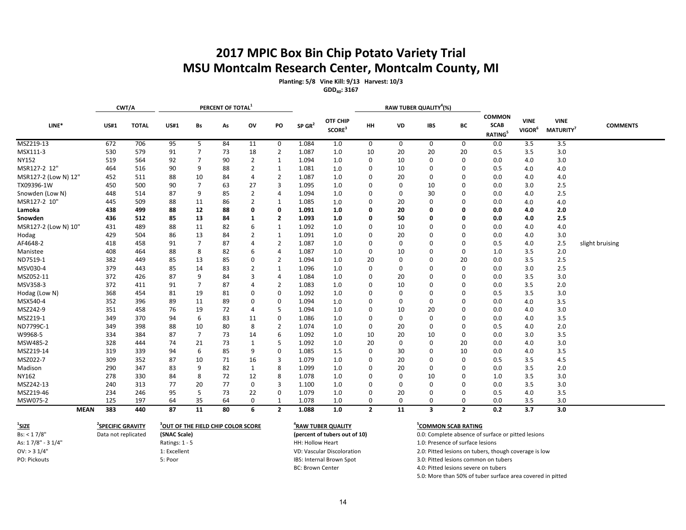# **2017 MPIC Box Bin Chip Potato Variety Trial MSU Montcalm Research Center, Montcalm County, MI**

**Planting: 5/8 Vine Kill: 9/13 Harvest: 10/3**

**GDD40: 3167**

|                      | CWT/A       |              |             | PERCENT OF TOTAL |    |                |                |                      |                                |                | RAW TUBER QUALITY <sup>4</sup> (%) |             |                |                                                     |                                   |                                |                 |
|----------------------|-------------|--------------|-------------|------------------|----|----------------|----------------|----------------------|--------------------------------|----------------|------------------------------------|-------------|----------------|-----------------------------------------------------|-----------------------------------|--------------------------------|-----------------|
| LINE*                | <b>US#1</b> | <b>TOTAL</b> | <b>US#1</b> | Bs               | As | ov             | PO             | $SP$ GR <sup>2</sup> | OTF CHIP<br>SCORE <sup>3</sup> | <b>HH</b>      | VD                                 | <b>IBS</b>  | BС             | <b>COMMON</b><br><b>SCAB</b><br>RATING <sup>5</sup> | <b>VINE</b><br>VIGOR <sup>6</sup> | <b>VINE</b><br><b>MATURITY</b> | <b>COMMENTS</b> |
| MSZ219-13            | 672         | 706          | 95          | 5                | 84 | 11             | 0              | 1.084                | 1.0                            | 0              | 0                                  | 0           | 0              | 0.0                                                 | 3.5                               | 3.5                            |                 |
| MSX111-3             | 530         | 579          | 91          | $\overline{7}$   | 73 | 18             | $\overline{2}$ | 1.087                | 1.0                            | 10             | 20                                 | 20          | 20             | 0.5                                                 | 3.5                               | 3.0                            |                 |
| <b>NY152</b>         | 519         | 564          | 92          | 7                | 90 | $\overline{2}$ | 1              | 1.094                | 1.0                            | 0              | 10                                 | $\Omega$    | 0              | 0.0                                                 | 4.0                               | 3.0                            |                 |
| MSR127-2 12"         | 464         | 516          | 90          | 9                | 88 | $\overline{2}$ | $\mathbf{1}$   | 1.081                | 1.0                            | 0              | 10                                 | $\Omega$    | 0              | 0.5                                                 | 4.0                               | 4.0                            |                 |
| MSR127-2 (Low N) 12" | 452         | 511          | 88          | 10               | 84 | $\overline{4}$ | $\overline{2}$ | 1.087                | 1.0                            | $\Omega$       | 20                                 | $\Omega$    | 0              | 0.0                                                 | 4.0                               | 4.0                            |                 |
| TX09396-1W           | 450         | 500          | 90          | $\overline{7}$   | 63 | 27             | 3              | 1.095                | 1.0                            | $\Omega$       | 0                                  | 10          | 0              | 0.0                                                 | 3.0                               | 2.5                            |                 |
| Snowden (Low N)      | 448         | 514          | 87          | 9                | 85 | $\overline{2}$ | 4              | 1.094                | 1.0                            | 0              | 0                                  | 30          | 0              | 0.0                                                 | 4.0                               | 2.5                            |                 |
| MSR127-2 10"         | 445         | 509          | 88          | 11               | 86 | $\overline{2}$ | 1              | 1.085                | 1.0                            | 0              | 20                                 | 0           | 0              | 0.0                                                 | 4.0                               | 4.0                            |                 |
| Lamoka               | 438         | 499          | 88          | 12               | 88 | 0              | 0              | 1.091                | 1.0                            | 0              | 20                                 | 0           | O              | 0.0                                                 | 4.0                               | 2.0                            |                 |
| Snowden              | 436         | 512          | 85          | 13               | 84 | 1              | $\overline{2}$ | 1.093                | 1.0                            | 0              | 50                                 | 0           | 0              | 0.0                                                 | 4.0                               | 2.5                            |                 |
| MSR127-2 (Low N) 10" | 431         | 489          | 88          | 11               | 82 | 6              | 1              | 1.092                | 1.0                            | 0              | 10                                 | 0           | 0              | 0.0                                                 | 4.0                               | 4.0                            |                 |
| Hodag                | 429         | 504          | 86          | 13               | 84 | $\overline{2}$ | $\mathbf{1}$   | 1.091                | 1.0                            | 0              | 20                                 | 0           | 0              | 0.0                                                 | 4.0                               | 3.0                            |                 |
| AF4648-2             | 418         | 458          | 91          | $\overline{7}$   | 87 |                | $\overline{2}$ | 1.087                | 1.0                            | 0              | 0                                  | 0           | 0              | 0.5                                                 | 4.0                               | 2.5                            | slight bruising |
| Manistee             | 408         | 464          | 88          | 8                | 82 | 6              | $\overline{4}$ | 1.087                | 1.0                            | 0              | 10                                 | 0           | 0              | 1.0                                                 | 3.5                               | 2.0                            |                 |
| ND7519-1             | 382         | 449          | 85          | 13               | 85 | $\Omega$       | $\overline{2}$ | 1.094                | 1.0                            | 20             | 0                                  | 0           | 20             | 0.0                                                 | 3.5                               | 2.5                            |                 |
| MSV030-4             | 379         | 443          | 85          | 14               | 83 | $\overline{2}$ | $\mathbf{1}$   | 1.096                | 1.0                            | $\mathbf 0$    | $\Omega$                           | 0           | 0              | 0.0                                                 | 3.0                               | 2.5                            |                 |
| MSZ052-11            | 372         | 426          | 87          | 9                | 84 | 3              | 4              | 1.084                | 1.0                            | 0              | 20                                 | 0           | 0              | 0.0                                                 | 3.5                               | 3.0                            |                 |
| MSV358-3             | 372         | 411          | 91          | 7                | 87 | 4              | $\overline{2}$ | 1.083                | 1.0                            | 0              | 10                                 | 0           | 0              | 0.0                                                 | 3.5                               | 2.0                            |                 |
| Hodag (Low N)        | 368         | 454          | 81          | 19               | 81 | $\Omega$       | $\mathbf 0$    | 1.092                | 1.0                            | $\mathbf 0$    | 0                                  | 0           | 0              | 0.5                                                 | 3.5                               | 3.0                            |                 |
| MSX540-4             | 352         | 396          | 89          | 11               | 89 | 0              | 0              | 1.094                | 1.0                            | 0              | $\Omega$                           | 0           | 0              | 0.0                                                 | 4.0                               | 3.5                            |                 |
| MSZ242-9             | 351         | 458          | 76          | 19               | 72 | $\overline{4}$ | 5              | 1.094                | 1.0                            | 0              | 10                                 | 20          | 0              | 0.0                                                 | 4.0                               | 3.0                            |                 |
| MSZ219-1             | 349         | 370          | 94          | 6                | 83 | 11             | 0              | 1.086                | 1.0                            | $\Omega$       | 0                                  | 0           | 0              | 0.0                                                 | 4.0                               | 3.5                            |                 |
| ND7799C-1            | 349         | 398          | 88          | 10               | 80 | 8              | $\overline{2}$ | 1.074                | 1.0                            | 0              | 20                                 | $\Omega$    | 0              | 0.5                                                 | 4.0                               | 2.0                            |                 |
| W9968-5              | 334         | 384          | 87          | $\overline{7}$   | 73 | 14             | 6              | 1.092                | 1.0                            | 10             | 20                                 | 10          | 0              | 0.0                                                 | 3.0                               | 3.5                            |                 |
| MSW485-2             | 328         | 444          | 74          | 21               | 73 | 1              | 5              | 1.092                | 1.0                            | 20             | 0                                  | $\mathbf 0$ | 20             | 0.0                                                 | 4.0                               | 3.0                            |                 |
| MSZ219-14            | 319         | 339          | 94          | 6                | 85 | 9              | 0              | 1.085                | 1.5                            | $\Omega$       | 30                                 | $\Omega$    | 10             | 0.0                                                 | 4.0                               | 3.5                            |                 |
| MSZ022-7             | 309         | 352          | 87          | 10               | 71 | 16             | 3              | 1.079                | 1.0                            | $\mathbf 0$    | 20                                 | $\mathbf 0$ | 0              | 0.5                                                 | 3.5                               | 4.5                            |                 |
| Madison              | 290         | 347          | 83          | 9                | 82 | 1              | 8              | 1.099                | 1.0                            | 0              | 20                                 | 0           | 0              | 0.0                                                 | 3.5                               | 2.0                            |                 |
| NY162                | 278         | 330          | 84          | 8                | 72 | 12             | 8              | 1.078                | 1.0                            | $\mathbf 0$    | 0                                  | 10          | 0              | 1.0                                                 | 3.5                               | 3.0                            |                 |
| MSZ242-13            | 240         | 313          | 77          | 20               | 77 | $\mathbf 0$    | 3              | 1.100                | 1.0                            | $\Omega$       | $\Omega$                           | $\Omega$    | 0              | 0.0                                                 | 3.5                               | 3.0                            |                 |
| MSZ219-46            | 234         | 246          | 95          | 5                | 73 | 22             | 0              | 1.079                | 1.0                            | 0              | 20                                 | 0           | 0              | 0.5                                                 | 4.0                               | 3.5                            |                 |
| MSW075-2             | 125         | 197          | 64          | 35               | 64 | $\mathbf 0$    | $\mathbf{1}$   | 1.078                | 1.0                            | 0              | 0                                  | 0           | 0              | 0.0                                                 | 3.5                               | 3.0                            |                 |
| <b>MEAN</b>          | 383         | 440          | 87          | 11               | 80 | 6              | $\overline{2}$ | 1.088                | 1.0                            | $\overline{2}$ | 11                                 | 3           | $\overline{2}$ | 0.2                                                 | 3.7                               | 3.0                            |                 |

| $^1$ SIZE          | <b><i>SPECIFIC GRAVITY</i></b> | <b>OUT OF THE FIELD CHIP COLOR SCORE</b> | "RAW TUBER QUALITY            | <b>COMMON SCAB RATING</b>                             |
|--------------------|--------------------------------|------------------------------------------|-------------------------------|-------------------------------------------------------|
| Bs: < 17/8"        | Data not replicated            | (SNAC Scale)                             | (percent of tubers out of 10) | 0.0: Complete absence of surface or pitted lesions    |
| As: 17/8" - 3 1/4" |                                | Ratings: $1 - 5$                         | HH: Hollow Heart              | 1.0: Presence of surface lesions                      |
| $OV:$ > 3 1/4"     |                                | 1: Excellent                             | VD: Vascular Discoloration    | 2.0: Pitted lesions on tubers, though coverage is low |
| PO: Pickouts       |                                | 5: Poor                                  | IBS: Internal Brown Spot      | 3.0: Pitted lesions common on tubers                  |

BC: Brown Center and the 4.0: Pitted lesions severe on tubers

5.0: More than 50% of tuber surface area covered in pitted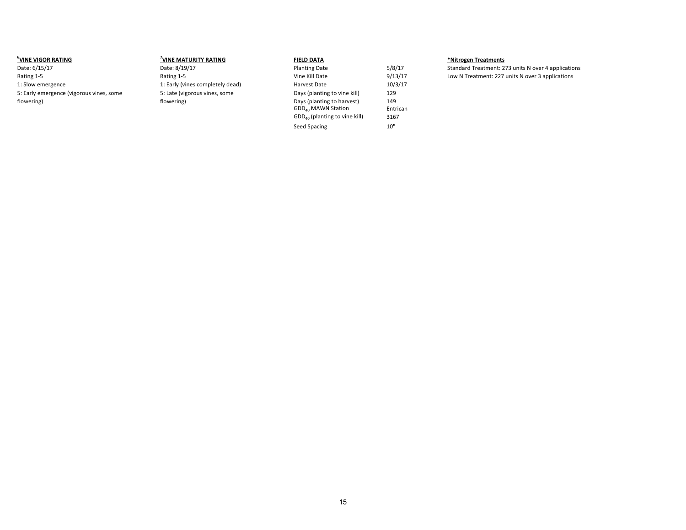| <b>UNE VIGOR RATING</b>                  | <b>VINE MATURITY RATING</b>      | <b>FIELD DATA</b>               |          | *Nitrogen Treatments                                |
|------------------------------------------|----------------------------------|---------------------------------|----------|-----------------------------------------------------|
| Date: 6/15/17                            | Date: 8/19/17                    | <b>Planting Date</b>            | 5/8/17   | Standard Treatment: 273 units N over 4 applications |
| Rating 1-5                               | Rating 1-5                       | Vine Kill Date                  | 9/13/17  | Low N Treatment: 227 units N over 3 applications    |
| 1: Slow emergence                        | 1: Early (vines completely dead) | Harvest Date                    | 10/3/17  |                                                     |
| 5: Early emergence (vigorous vines, some | 5: Late (vigorous vines, some    | Days (planting to vine kill)    | 129      |                                                     |
| flowering)                               | flowering)                       | Days (planting to harvest)      | 149      |                                                     |
|                                          |                                  | GDD <sub>40</sub> MAWN Station  | Entrican |                                                     |
|                                          |                                  | $GDD40$ (planting to vine kill) | 3167     |                                                     |
|                                          |                                  | Seed Spacing                    | 10'      |                                                     |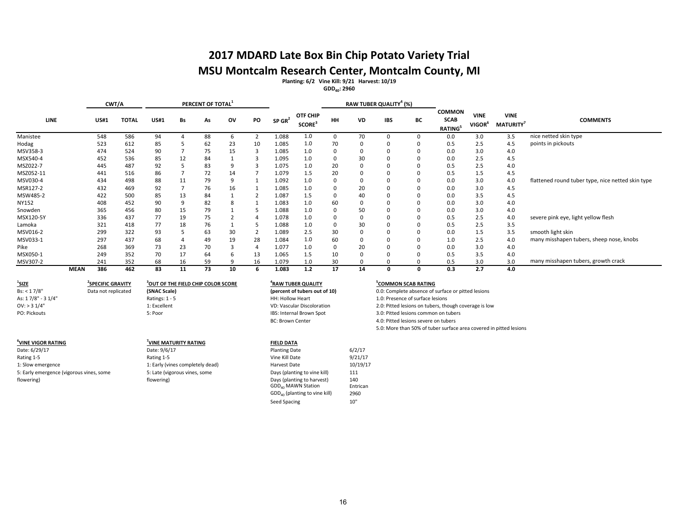# **2017 MDARD Late Box Bin Chip Potato Variety Trial MSU Montcalm Research Center, Montcalm County, MI**

**Planting: 6/2 Vine Kill: 9/21 Harvest: 10/19**

**GDD40: 2960**

|              |             | CWT/A       |              |             |    | PERCENT OF TOTAL |    |    |                      |                                       |           |           | RAW TUBER QUALITY <sup>4</sup> (%) |    |                                                            |                                   |                                |                                                   |
|--------------|-------------|-------------|--------------|-------------|----|------------------|----|----|----------------------|---------------------------------------|-----------|-----------|------------------------------------|----|------------------------------------------------------------|-----------------------------------|--------------------------------|---------------------------------------------------|
| <b>LINE</b>  |             | <b>US#1</b> | <b>TOTAL</b> | <b>US#1</b> | Bs | As               | ov | PO | $SP$ GR <sup>2</sup> | OTF CHIP<br><b>SCORE</b> <sup>3</sup> | <b>HH</b> | <b>VD</b> | <b>IBS</b>                         | BC | <b>COMMON</b><br><b>SCAB</b><br><b>RATING</b> <sup>5</sup> | <b>VINE</b><br>VIGOR <sup>6</sup> | <b>VINE</b><br><b>MATURITY</b> | <b>COMMENTS</b>                                   |
| Manistee     |             | 548         | 586          | 94          |    | 88               |    |    | 1.088                | 1.0                                   | n         | 70        |                                    |    | 0.0                                                        | 3.0                               | 3.5                            | nice netted skin type                             |
| Hodag        |             | 523         | 612          | 85          |    | 62               | 23 | 10 | 1.085                | 1.0                                   | 70        |           |                                    |    | 0.5                                                        | 2.5                               | 4.5                            | points in pickouts                                |
| MSV358-3     |             | 474         | 524          | 90          |    | 75               | 15 |    | 1.085                | 1.0                                   |           |           |                                    |    | 0.0                                                        | 3.0                               | 4.0                            |                                                   |
| MSX540-4     |             | 452         | 536          | 85          | 12 | 84               |    |    | 1.095                | 1.0                                   | $\Omega$  | 30        |                                    |    | 0.0                                                        | 2.5                               | 4.5                            |                                                   |
| MSZ022-7     |             | 445         | 487          | 92          |    | 83               |    |    | 1.075                | 1.0                                   | 20        |           |                                    | 0  | 0.5                                                        | 2.5                               | 4.0                            |                                                   |
| MSZ052-11    |             | 441         | 516          | 86          |    | 72               | 14 |    | 1.079                | 1.5                                   | 20        |           |                                    |    | 0.5                                                        | 1.5                               | 4.5                            |                                                   |
| MSV030-4     |             | 434         | 498          | 88          | 11 | 79               |    |    | 1.092                | 1.0                                   |           |           |                                    |    | 0.0                                                        | 3.0                               | 4.0                            | flattened round tuber type, nice netted skin type |
| MSR127-2     |             | 432         | 469          | 92          |    | 76               | 16 |    | 1.085                | 1.0                                   |           | 20        |                                    |    | 0.0                                                        | 3.0                               | 4.5                            |                                                   |
| MSW485-2     |             | 422         | 500          | 85          | 13 | 84               |    |    | 1.087                | 1.5                                   |           | 40        |                                    | 0  | 0.0                                                        | 3.5                               | 4.5                            |                                                   |
| <b>NY152</b> |             | 408         | 452          | 90          |    | 82               |    |    | 1.083                | 1.0                                   | 60        |           |                                    | 0  | 0.0                                                        | 3.0                               | 4.0                            |                                                   |
| Snowden      |             | 365         | 456          | 80          | 15 | 79               |    |    | 1.088                | 1.0                                   |           | 50        |                                    | 0  | 0.0                                                        | 3.0                               | 4.0                            |                                                   |
| MSX120-5Y    |             | 336         | 437          | 77          | 19 | 75               |    |    | 1.078                | 1.0                                   |           |           |                                    |    | 0.5                                                        | 2.5                               | 4.0                            | severe pink eye, light yellow flesh               |
| Lamoka       |             | 321         | 418          | 77          | 18 | 76               |    |    | 1.088                | 1.0                                   |           | 30        |                                    |    | 0.5                                                        | 2.5                               | 3.5                            |                                                   |
| MSV016-2     |             | 299         | 322          | 93          |    | 63               | 30 |    | 1.089                | 2.5                                   | 30        |           |                                    |    | 0.0                                                        | 1.5                               | 3.5                            | smooth light skin                                 |
| MSV033-1     |             | 297         | 437          | 68          |    | 49               | 19 | 28 | 1.084                | 1.0                                   | 60        |           |                                    |    | 1.0                                                        | 2.5                               | 4.0                            | many misshapen tubers, sheep nose, knobs          |
| Pike         |             | 268         | 369          | 73          | 23 | 70               |    |    | 1.077                | 1.0                                   | 0         | 20        |                                    | 0  | 0.0                                                        | 3.0                               | 4.0                            |                                                   |
| MSX050-1     |             | 249         | 352          | 70          | 17 | 64               |    | 13 | 1.065                | 1.5                                   | 10        |           |                                    | 0  | 0.5                                                        | 3.5                               | 4.0                            |                                                   |
| MSV307-2     |             | 241         | 352          | 68          | 16 | 59               |    | 16 | 1.079                | 1.0                                   | 30        |           |                                    |    | 0.5                                                        | 3.0                               | 3.0                            | many misshapen tubers, growth crack               |
|              | <b>MEAN</b> | 386         | 462          | 83          | 11 | 73               | 10 |    | 1.083                | 1.2                                   | 17        | 14        | O                                  | 0  | 0.3                                                        | 2.7                               | 4.0                            |                                                   |

**1 SIZE <sup>2</sup>** Bs: < 1 7/8" Data not replicated

**SPECIFIC GRAVITY <sup>5</sup> 3 OUT OF THE FIELD CHIP COLOR SCORE <sup>4</sup>**

**6 VINE VIGOR RATING <sup>7</sup>**

Date: 9/6/17 Planting Date 6/2/17 Planting Date 6/2/17 Planting Date 6/2/17 Rating 1-5 **Rating 1-5** Rating 1-5 **Rating 1-5** Rating 1-5 **Vine Kill Date** 9/21/17 1: Slow emergence 10/19/17<br>11: Early (vines completely dead) Harvest Date 10/19/17<br>111 11: Early emergence (vigorous vines, some 111 5: Early emergence (vigorous vines, some flowering)

# OV: > 3 1/4" 1: Excellent VD: Vascular Discoloration

**VINE MATURITY RATING**<br>
Date: 9/6/17<br> **Planting Date** 

5: Late (vigorous vines, some flowering)

# **RAW TUBER QUALITY**<br>(percent of tubers out of 10)

Days (planting to vine kill) 111

GDD<sub>40</sub> MAWN Station

Days (planting to harvest)  $140$ <br>GDD<sub>40</sub> MAWN Station Entrican

GDD40 (planting to vine kill) 2960 Seed Spacing 10"

## **<u>COMMON SCAB RATING</u>**

As: 1 7/8" - 3 1/4" 
As: 1 7/8" - 3 1/4" 
As: 17/8" - 3 1/4" 
Ratings: 1 - 5 1.0: Presence of surface lesions<br>
2.0: Pitted lesions on tubers. the 1.0: Presence of surface lesions in the state of surface lesions 1.0: Presen 3.0: Pitted lesions common on tubers BC: Brown Center and the 4.0: Pitted lesions severe on tubers 5.0: More than 50% of tuber surface area covered in pitted lesions **(SNAC Scale) (percent of tubers out of 10)** 0.0: Complete absence of surface or pitted lesions 2.0: Pitted lesions on tubers, though coverage is low

16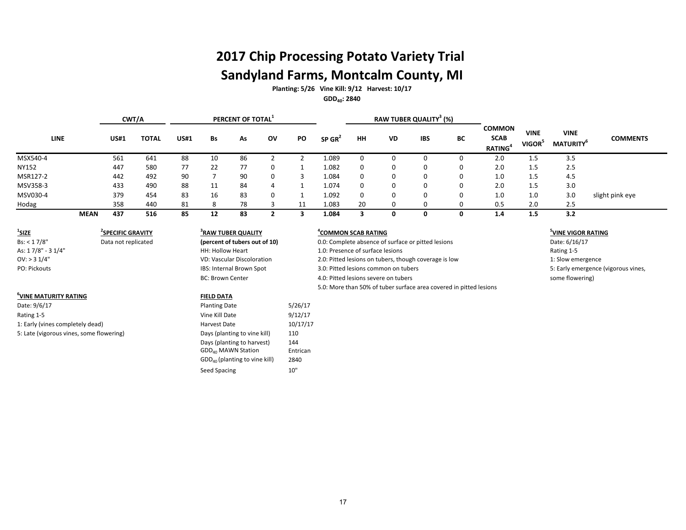# **2017 Chip Processing Potato Variety Trial Sandyland Farms, Montcalm County, MI**

**Planting: 5/26 Vine Kill: 9/12 Harvest: 10/17 GDD40: 2840**

|              | RAW TUBER QUALITY <sup>3</sup> (%)<br>CWT/A<br>PERCENT OF TOTAL <sup>1</sup> |             |       |             |    |    |    |    |                      |             |           |            |    |                                               |                                   |                                |                 |
|--------------|------------------------------------------------------------------------------|-------------|-------|-------------|----|----|----|----|----------------------|-------------|-----------|------------|----|-----------------------------------------------|-----------------------------------|--------------------------------|-----------------|
| LINE         |                                                                              | <b>US#1</b> | TOTAL | <b>US#1</b> | Bs | As | 0V | PO | $SP$ GR <sup>2</sup> | HH          | <b>VD</b> | <b>IBS</b> | BС | <b>COMMON</b><br><b>SCAB</b><br><b>RATING</b> | <b>VINE</b><br>VIGOR <sup>3</sup> | <b>VINE</b><br><b>MATURITY</b> | <b>COMMENTS</b> |
| MSX540-4     |                                                                              | 561         | 641   | 88          | 10 | 86 |    |    | 1.089                | 0           |           |            |    | 2.0                                           | 1.5                               | 3.5                            |                 |
| <b>NY152</b> |                                                                              | 447         | 580   | 77          | 22 | 77 |    |    | 1.082                | 0           |           |            |    | 2.0                                           | 1.5                               | 2.5                            |                 |
| MSR127-2     |                                                                              | 442         | 492   | 90          |    | 90 |    |    | 1.084                | 0           |           |            |    | 1.0                                           | 1.5                               | 4.5                            |                 |
| MSV358-3     |                                                                              | 433         | 490   | 88          | 11 | 84 | 4  |    | 1.074                | $\mathbf 0$ |           |            |    | 2.0                                           | 1.5                               | 3.0                            |                 |
| MSV030-4     |                                                                              | 379         | 454   | 83          | 16 | 83 |    |    | 1.092                | 0           |           | 0          |    | 1.0                                           | 1.0                               | 3.0                            | slight pink eye |
| Hodag        |                                                                              | 358         | 440   | 81          | 8  | 78 |    | 11 | 1.083                | 20          |           |            |    | 0.5                                           | 2.0                               | 2.5                            |                 |
|              | MEAN                                                                         | 437         | 516   | 85          | 12 | 83 |    |    | 1.084                |             |           |            |    | 1.4                                           | 1.5                               | 3.2                            |                 |

| SIZE                                     | <sup>2</sup> SPECIFIC GRAVITY |  |  |  |  |  |  |  |  |  |
|------------------------------------------|-------------------------------|--|--|--|--|--|--|--|--|--|
| Bs: < 17/8"                              | Data not replicated           |  |  |  |  |  |  |  |  |  |
| As: 17/8" - 31/4"                        |                               |  |  |  |  |  |  |  |  |  |
| $OV:$ > 3 $1/4"$                         |                               |  |  |  |  |  |  |  |  |  |
| <b>PO: Pickouts</b>                      |                               |  |  |  |  |  |  |  |  |  |
|                                          |                               |  |  |  |  |  |  |  |  |  |
|                                          |                               |  |  |  |  |  |  |  |  |  |
| <sup>6</sup> VINE MATURITY RATING        |                               |  |  |  |  |  |  |  |  |  |
| Date: 9/6/17                             |                               |  |  |  |  |  |  |  |  |  |
| Rating 1-5                               |                               |  |  |  |  |  |  |  |  |  |
| 1: Early (vines completely dead)         |                               |  |  |  |  |  |  |  |  |  |
| 5: Late (vigorous vines, some flowering) |                               |  |  |  |  |  |  |  |  |  |
|                                          |                               |  |  |  |  |  |  |  |  |  |

# **SPECIFIC GRAVITY <sup>4</sup> 3 RAW TUBER QUALITY** IBS: Internal Brown Spot

Planting Date 5/26/17 Vine Kill Date 9/12/17 Harvest Date 10/17/17 Days (planting to vine kill) 110 Days (planting to harvest) 144 GDD<sub>40</sub> MAWN Station Entrican GDD40 (planting to vine kill) 2840 Seed Spacing 10"

**FIELD DATA** 

| <sup>1</sup> SIZE | <b>SPECIFIC GRAVITY</b> | <sup>3</sup> RAW TUBER QUALITY | <sup>4</sup> COMMON SCAB RATING                                    | <sup>3</sup> VINE VIGOR RATIN |
|-------------------|-------------------------|--------------------------------|--------------------------------------------------------------------|-------------------------------|
| Bs: < 17/8"       | Data not replicated     | (percent of tubers out of 10)  | 0.0: Complete absence of surface or pitted lesions                 | Date: 6/16/17                 |
| As: 17/8" - 31/4" |                         | <b>HH: Hollow Heart</b>        | 1.0: Presence of surface lesions                                   | Rating 1-5                    |
| $OV:$ > 3 1/4"    |                         | VD: Vascular Discoloration     | 2.0: Pitted lesions on tubers, though coverage is low              | 1: Slow emergence             |
| PO: Pickouts      |                         | IBS: Internal Brown Spot       | 3.0: Pitted lesions common on tubers                               | 5: Early emergence            |
|                   |                         | <b>BC: Brown Center</b>        | 4.0: Pitted lesions severe on tubers                               | some flowering)               |
|                   |                         |                                | 5.0: More than 50% of tuber surface area covered in pitted lesions |                               |

## **VINE VIGOR RATING**

5: Early emergence (vigorous vines,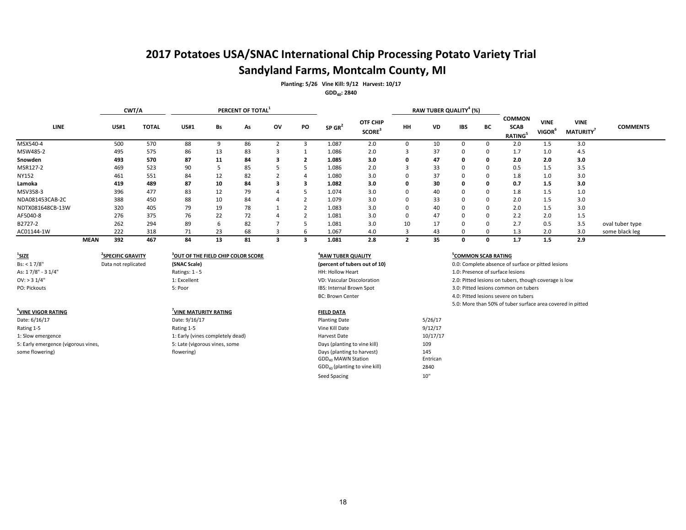# **2017 Potatoes USA/SNAC International Chip Processing Potato Variety Trial Sandyland Farms, Montcalm County, MI**

**Planting: 5/26 Vine Kill: 9/12 Harvest: 10/17**

**GDD40: 2840**

|                  | CWT/A |             |              |             |    | PERCENT OF TOTAL |    |                |                      |                                |          | RAW TUBER QUALITY <sup>4</sup> (%) |            |          |                                               |                                          |                                |                 |
|------------------|-------|-------------|--------------|-------------|----|------------------|----|----------------|----------------------|--------------------------------|----------|------------------------------------|------------|----------|-----------------------------------------------|------------------------------------------|--------------------------------|-----------------|
| <b>LINE</b>      |       | <b>US#1</b> | <b>TOTAL</b> | <b>US#1</b> | Bs | As               | ov | PO             | $SP$ GR <sup>2</sup> | OTF CHIP<br>SCORE <sup>3</sup> | HH       | VD                                 | <b>IBS</b> | BC       | <b>COMMON</b><br><b>SCAB</b><br><b>RATING</b> | <b>VINE</b><br><b>VIGOR</b> <sup>°</sup> | <b>VINE</b><br><b>MATURITY</b> | <b>COMMENTS</b> |
| MSX540-4         |       | 500         | 570          | 88          |    | 86               |    |                | 1.087                | 2.0                            |          | 10                                 |            | n        | 2.0                                           | 1.5                                      | 3.0                            |                 |
| MSW485-2         |       | 495         | 575          | 86          | 13 | 83               |    |                | 1.086                | 2.0                            |          | 37                                 |            | 0        | 1.7                                           | 1.0                                      | 4.5                            |                 |
| Snowden          |       | 493         | 570          | 87          | 11 | 84               |    |                | 1.085                | 3.0                            | 0        | 47                                 |            | 0        | 2.0                                           | 2.0                                      | 3.0                            |                 |
| MSR127-2         |       | 469         | 523          | 90          |    | 85               |    |                | 1.086                | 2.0                            | đ.       | 33                                 | 0          | 0        | 0.5                                           | $1.5\,$                                  | 3.5                            |                 |
| NY152            |       | 461         | 551          | 84          | 12 | 82               |    | $\overline{ }$ | 1.080                | 3.0                            | 0        | 37                                 | 0          | 0        | 1.8                                           | 1.0                                      | 3.0                            |                 |
| Lamoka           |       | 419         | 489          | 87          | 10 | 84               |    |                | 1.082                | 3.0                            | 0        | 30                                 | O.         | 0        | 0.7                                           | 1.5                                      | 3.0                            |                 |
| MSV358-3         |       | 396         | 477          | 83          | 12 | 79               |    |                | 1.074                | 3.0                            | $\Omega$ | 40                                 |            | 0        | 1.8                                           | 1.5                                      | 1.0                            |                 |
| NDA081453CAB-2C  |       | 388         | 450          | 88          | 10 | 84               |    |                | 1.079                | 3.0                            | $\Omega$ | 33                                 |            | 0        | 2.0                                           | 1.5                                      | 3.0                            |                 |
| NDTX081648CB-13W |       | 320         | 405          | 79          | 19 | 78               |    |                | 1.083                | 3.0                            | $\Omega$ | 40                                 |            | 0        | 2.0                                           | 1.5                                      | 3.0                            |                 |
| AF5040-8         |       | 276         | 375          | 76          | 22 | 72               |    |                | 1.081                | 3.0                            | 0        | 47                                 |            | 0        | 2.2                                           | 2.0                                      | 1.5                            |                 |
| B2727-2          |       | 262         | 294          | 89          | h  | 82               |    |                | 1.081                | 3.0                            | 10       | 17                                 | 0          | 0        | 2.7                                           | 0.5                                      | 3.5                            | oval tuber type |
| AC01144-1W       |       | 222         | 318          | 71          | 23 | 68               |    | h              | 1.067                | 4.0                            |          | 43                                 |            | $\Omega$ | 1.3                                           | 2.0                                      | 3.0                            | some black leg  |
|                  | MEAN  | 392         | 467          | 84          | 13 | 81               |    |                | 1.081                | 2.8                            |          | 35                                 |            | 0        | 1.7                                           | 1.5                                      | 2.9                            |                 |

| <sup>1</sup> SIZE | <sup>2</sup> SPECIFIC GRAVITY |
|-------------------|-------------------------------|
| Bs: < 17/8"       | Data not replicated           |
| As: 17/8" - 31/4" |                               |
| $OV:$ > 3 $1/4"$  |                               |
| PO: Pickouts      |                               |
|                   |                               |

# **SPECIFIC GRAVITY <sup>5</sup> 3 OUT OF THE FIELD CHIP COLOR SCORE <sup>4</sup>**

## **6 VINE VIGOR RATING <sup>7</sup> VINE MATURITY RATING FIELD DATA**<br>
Date: 9/16/17 5: Late (vigorous vines, some flowering)

## **RAW TUBER QUALITY**

Astings: 1 - 5 1.0: Presence of surface lesions<br>
1 1.0: Presence of surface lesions<br>
1 1.0: Presence of surface lesions on tubers, the VD: Vascular Discoloration<br>
1 2.0: Pitted lesions on tubers, the VD: Vascular Discoloration

| Date: 6/16/17                       | Date: 9/16/17                    | <b>Planting Date</b>            | 5/26/17  |
|-------------------------------------|----------------------------------|---------------------------------|----------|
| Rating 1-5                          | Rating 1-5                       | Vine Kill Date                  | 9/12/17  |
| 1: Slow emergence                   | 1: Early (vines completely dead) | Harvest Date                    | 10/17/17 |
| 5: Early emergence (vigorous vines, | 5: Late (vigorous vines, some    | Days (planting to vine kill)    | 109      |
| some flowering)                     | flowering)                       | Days (planting to harvest)      | 145      |
|                                     |                                  | GDD <sub>40</sub> MAWN Station  | Entrican |
|                                     |                                  | $GDD40$ (planting to vine kill) | 2840     |
|                                     |                                  | Seed Spacing                    | 10"      |
|                                     |                                  |                                 |          |

#### **<sup>5</sup>COMMON SCAB RATING**

**(SNAC Scale) (percent of tubers out of 10)** 0.0: Complete absence of surface or pitted lesions

2.0: Pitted lesions on tubers, though coverage is low

PO: Pickouts 5: Poor IBS: Internal Brown Spot 3.0: Pitted lesions common on tubers

BC: Brown Center and the state of the 4.0: Pitted lesions severe on tubers

5.0: More than 50% of tuber surface area covered in pitted